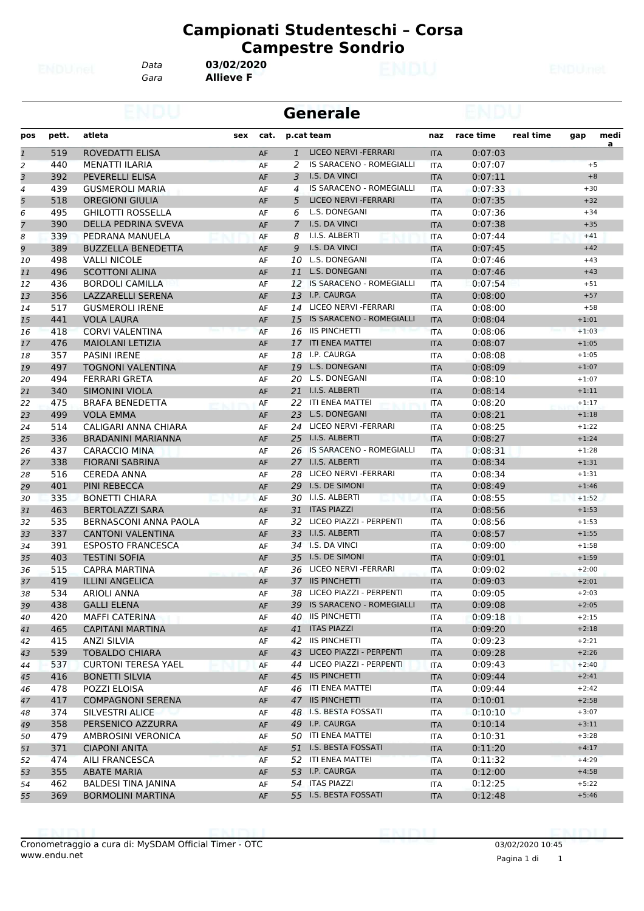*Data* **03/02/2020**

*Gara* **Allieve F**

|                |       |                              |      |              | <b>Generale</b>                 |            |           |           |         |           |
|----------------|-------|------------------------------|------|--------------|---------------------------------|------------|-----------|-----------|---------|-----------|
| pos            | pett. | atleta<br>sex                | cat. |              | p.cat team                      | naz        | race time | real time | gap     | medi<br>a |
| $\mathbf{1}$   | 519   | ROVEDATTI ELISA              | AF   | $\mathbf{1}$ | <b>LICEO NERVI - FERRARI</b>    | <b>ITA</b> | 0:07:03   |           |         |           |
| 2              | 440   | <b>MENATTI ILARIA</b>        | AF   | 2            | IS SARACENO - ROMEGIALLI        | <b>ITA</b> | 0:07:07   |           | $+5$    |           |
| 3              | 392   | <b>PEVERELLI ELISA</b>       | AF   | 3            | I.S. DA VINCI                   | <b>ITA</b> | 0:07:11   |           |         | $+8$      |
| 4              | 439   | <b>GUSMEROLI MARIA</b>       | AF   | 4            | IS SARACENO - ROMEGIALLI        | <b>ITA</b> | 0:07:33   |           | $+30$   |           |
| 5              | 518   | <b>OREGIONI GIULIA</b>       | AF   | 5            | LICEO NERVI - FERRARI           | <b>ITA</b> | 0:07:35   |           | $+32$   |           |
| 6              | 495   | <b>GHILOTTI ROSSELLA</b>     | AF   | 6            | L.S. DONEGANI                   | <b>ITA</b> | 0:07:36   |           | $+34$   |           |
| $\overline{7}$ | 390   | DELLA PEDRINA SVEVA          | AF   | 7            | I.S. DA VINCI                   | <b>ITA</b> | 0:07:38   |           | $+35$   |           |
| 8              | 339   | PEDRANA MANUELA              | AF   | 8            | I.I.S. ALBERTI                  | <b>ITA</b> | 0:07:44   |           | $+41$   |           |
| 9              | 389   | <b>BUZZELLA BENEDETTA</b>    | AF   | 9            | I.S. DA VINCI                   | <b>ITA</b> | 0:07:45   |           | $+42$   |           |
| 10             | 498   | <b>VALLI NICOLE</b>          | AF   | 10           | L.S. DONEGANI                   | <b>ITA</b> | 0:07:46   |           | $+43$   |           |
| 11             | 496   | <b>SCOTTONI ALINA</b>        | AF   | 11           | L.S. DONEGANI                   | <b>ITA</b> | 0:07:46   |           | $+43$   |           |
| 12             | 436   | <b>BORDOLI CAMILLA</b>       | AF   |              | 12 IS SARACENO - ROMEGIALLI     | <b>ITA</b> | 0:07:54   |           | $+51$   |           |
| 13             | 356   | LAZZARELLI SERENA            | AF   | 13           | I.P. CAURGA                     | <b>ITA</b> | 0:08:00   |           | $+57$   |           |
| 14             | 517   | <b>GUSMEROLI IRENE</b>       | AF   | 14           | LICEO NERVI - FERRARI           | <b>ITA</b> | 0:08:00   |           | $+58$   |           |
| 15             | 441   | <b>VOLA LAURA</b>            | AF   | 15           | <b>IS SARACENO - ROMEGIALLI</b> | <b>ITA</b> | 0:08:04   |           | $+1:01$ |           |
| 16             | 418   | <b>CORVI VALENTINA</b>       | AF   | 16           | <b>IIS PINCHETTI</b>            | <b>ITA</b> | 0:08:06   |           | $+1:03$ |           |
| 17             | 476   | <b>MAIOLANI LETIZIA</b>      | AF   |              | 17 ITI ENEA MATTEI              | <b>ITA</b> | 0:08:07   |           | $+1:05$ |           |
| 18             | 357   | <b>PASINI IRENE</b>          | AF   | 18           | I.P. CAURGA                     | ITA        | 0:08:08   |           | $+1:05$ |           |
| 19             | 497   | <b>TOGNONI VALENTINA</b>     | AF   | 19           | L.S. DONEGANI                   | <b>ITA</b> | 0:08:09   |           | $+1:07$ |           |
| 20             | 494   | <b>FERRARI GRETA</b>         | AF   | 20           | L.S. DONEGANI                   | <b>ITA</b> | 0:08:10   |           | $+1:07$ |           |
| 21             | 340   | <b>SIMONINI VIOLA</b>        | AF   | 21           | I.I.S. ALBERTI                  | <b>ITA</b> | 0:08:14   |           | $+1:11$ |           |
| 22             | 475   | <b>BRAFA BENEDETTA</b>       | AF   | 22           | ITI ENEA MATTEI                 | <b>ITA</b> | 0:08:20   |           | $+1:17$ |           |
| 23             | 499   | <b>VOLA EMMA</b>             | AF   | 23           | L.S. DONEGANI                   | <b>ITA</b> | 0:08:21   |           | $+1:18$ |           |
| 24             | 514   | CALIGARI ANNA CHIARA         | AF   | 24           | LICEO NERVI - FERRARI           | <b>ITA</b> | 0:08:25   |           | $+1:22$ |           |
| 25             | 336   | <b>BRADANINI MARIANNA</b>    | AF   | 25           | I.I.S. ALBERTI                  | <b>ITA</b> | 0:08:27   |           | $+1:24$ |           |
| 26             | 437   | <b>CARACCIO MINA</b>         | AF   | 26           | IS SARACENO - ROMEGIALLI        | <b>ITA</b> | 0:08:31   |           | $+1:28$ |           |
| 27             | 338   | <b>FIORANI SABRINA</b>       | AF   |              | 27 I.I.S. ALBERTI               | <b>ITA</b> | 0:08:34   |           | $+1:31$ |           |
| 28             | 516   | <b>CEREDA ANNA</b>           | AF   | 28           | LICEO NERVI - FERRARI           | <b>ITA</b> | 0:08:34   |           | $+1:31$ |           |
| 29             | 401   | <b>PINI REBECCA</b>          | AF   | 29           | I.S. DE SIMONI                  | <b>ITA</b> | 0:08:49   |           | $+1:46$ |           |
| 30             | 335   | <b>BONETTI CHIARA</b>        | AF   |              | 30 I.I.S. ALBERTI               | <b>ITA</b> | 0:08:55   |           | $+1:52$ |           |
| 31             | 463   | <b>BERTOLAZZI SARA</b>       | AF   | 31           | <b>ITAS PIAZZI</b>              | <b>ITA</b> | 0:08:56   |           | $+1:53$ |           |
| 32             | 535   | <b>BERNASCONI ANNA PAOLA</b> | AF   | 32           | LICEO PIAZZI - PERPENTI         | <b>ITA</b> | 0:08:56   |           | $+1:53$ |           |
| 33             | 337   | <b>CANTONI VALENTINA</b>     | AF   | 33           | I.I.S. ALBERTI                  | <b>ITA</b> | 0:08:57   |           | $+1:55$ |           |
|                | 391   | <b>ESPOSTO FRANCESCA</b>     |      |              | 34 I.S. DA VINCI                |            | 0:09:00   |           | $+1:58$ |           |
| 34             | 403   | <b>TESTINI SOFIA</b>         | AF   |              | 35 I.S. DE SIMONI               | <b>ITA</b> |           |           | $+1:59$ |           |
| 35             |       | <b>CAPRA MARTINA</b>         | AF   | 36           | LICEO NERVI - FERRARI           | <b>ITA</b> | 0:09:01   |           | $+2:00$ |           |
| 36             | 515   |                              | AF   |              | 37 IIS PINCHETTI                | ITA        | 0:09:02   |           | $+2:01$ |           |
| 37             | 419   | <b>ILLINI ANGELICA</b>       | AF   |              | 38 LICEO PIAZZI - PERPENTI      | <b>ITA</b> | 0:09:03   |           |         |           |
| 38             | 534   | <b>ARIOLI ANNA</b>           | AF   |              | 39 IS SARACENO - ROMEGIALLI     | ITA        | 0:09:05   |           | $+2:03$ |           |
| 39             | 438   | <b>GALLI ELENA</b>           | AF   |              |                                 | <b>ITA</b> | 0:09:08   |           | $+2:05$ |           |
| 40             | 420   | <b>MAFFI CATERINA</b>        | AF   | 40           | <b>IIS PINCHETTI</b>            | ITA        | 0:09:18   |           | $+2:15$ |           |
| 41             | 465   | <b>CAPITANI MARTINA</b>      | AF   | 41           | <b>ITAS PIAZZI</b>              | <b>ITA</b> | 0:09:20   |           | $+2:18$ |           |
| 42             | 415   | <b>ANZI SILVIA</b>           | AF   |              | 42 IIS PINCHETTI                | ITA        | 0:09:23   |           | $+2:21$ |           |
| 43             | 539   | <b>TOBALDO CHIARA</b>        | AF   | 43           | LICEO PIAZZI - PERPENTI         | <b>ITA</b> | 0:09:28   |           | $+2:26$ |           |
| 44             | 537   | <b>CURTONI TERESA YAEL</b>   | AF   | 44           | LICEO PIAZZI - PERPENTI         | ITA        | 0:09:43   |           | $+2:40$ |           |
| 45             | 416   | <b>BONETTI SILVIA</b>        | AF   |              | 45 IIS PINCHETTI                | <b>ITA</b> | 0:09:44   |           | $+2:41$ |           |
| 46             | 478   | POZZI ELOISA                 | AF   |              | 46 ITI ENEA MATTEI              | ITA        | 0:09:44   |           | $+2:42$ |           |
| 47             | 417   | <b>COMPAGNONI SERENA</b>     | AF   |              | 47 IIS PINCHETTI                | <b>ITA</b> | 0:10:01   |           | $+2:58$ |           |
| 48             | 374   | SILVESTRI ALICE              | AF   |              | 48 I.S. BESTA FOSSATI           | <b>ITA</b> | 0:10:10   |           | $+3:07$ |           |
| 49             | 358   | PERSENICO AZZURRA            | AF   | 49           | I.P. CAURGA                     | <b>ITA</b> | 0:10:14   |           | $+3:11$ |           |
| 50             | 479   | AMBROSINI VERONICA           | AF   |              | 50 ITI ENEA MATTEI              | ITA        | 0:10:31   |           | $+3:28$ |           |
| 51             | 371   | <b>CIAPONI ANITA</b>         | AF   |              | 51 I.S. BESTA FOSSATI           | <b>ITA</b> | 0:11:20   |           | $+4:17$ |           |
| 52             | 474   | AILI FRANCESCA               | AF   |              | 52 ITI ENEA MATTEI              | <b>ITA</b> | 0:11:32   |           | $+4:29$ |           |
| 53             | 355   | <b>ABATE MARIA</b>           | AF   |              | 53 I.P. CAURGA                  | <b>ITA</b> | 0:12:00   |           | $+4:58$ |           |
| 54             | 462   | <b>BALDESI TINA JANINA</b>   | AF   |              | 54 ITAS PIAZZI                  | ITA        | 0:12:25   |           | $+5:22$ |           |
| 55             | 369   | <b>BORMOLINI MARTINA</b>     | AF   |              | 55 I.S. BESTA FOSSATI           | <b>ITA</b> | 0:12:48   |           | $+5:46$ |           |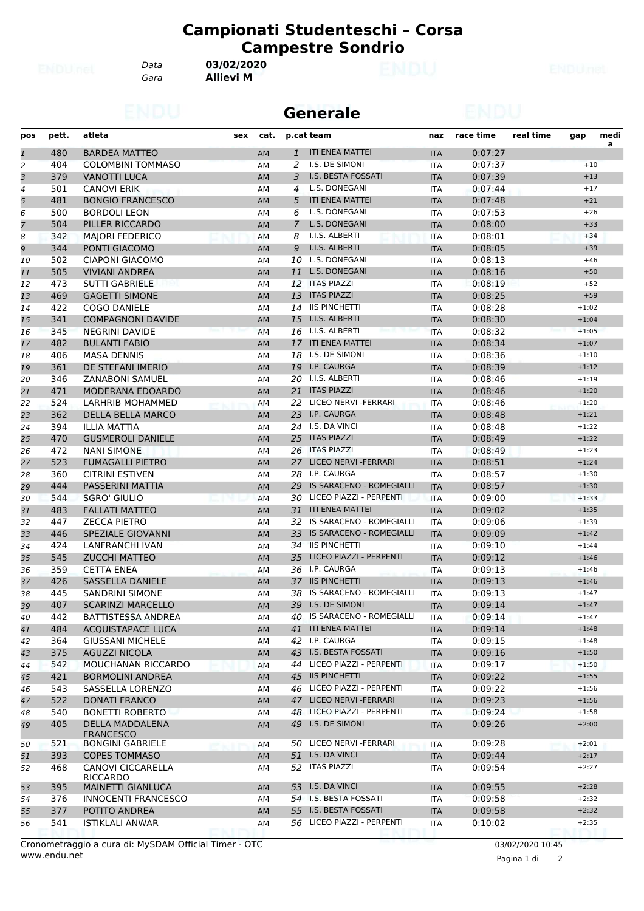*Gara* **Allievi M** *Data* **03/02/2020**

|                |       |                                      |     |           |                | <b>Generale</b>                 |            |           |           |         |      |
|----------------|-------|--------------------------------------|-----|-----------|----------------|---------------------------------|------------|-----------|-----------|---------|------|
| pos            | pett. | atleta                               | sex | cat.      |                | p.cat team                      | naz        | race time | real time | gap     | medi |
| $\mathbf{1}$   | 480   | <b>BARDEA MATTEO</b>                 |     | <b>AM</b> | $\mathbf{1}$   | <b>ITI ENEA MATTEI</b>          | <b>ITA</b> | 0:07:27   |           |         | a    |
| 2              | 404   | <b>COLOMBINI TOMMASO</b>             |     | AM        | 2              | I.S. DE SIMONI                  | <b>ITA</b> | 0:07:37   |           | $+10$   |      |
| 3              | 379   | <b>VANOTTI LUCA</b>                  |     | AM        | 3              | I.S. BESTA FOSSATI              | <b>ITA</b> | 0:07:39   |           | $+13$   |      |
| 4              | 501   | <b>CANOVI ERIK</b>                   |     | AM        | 4              | L.S. DONEGANI                   | <b>ITA</b> | 0:07:44   |           | $+17$   |      |
| 5              | 481   | <b>BONGIO FRANCESCO</b>              |     | AM        | 5              | <b>ITI ENEA MATTEI</b>          | <b>ITA</b> | 0:07:48   |           | $+21$   |      |
| 6              | 500   | <b>BORDOLI LEON</b>                  |     | AM        | 6              | L.S. DONEGANI                   | <b>ITA</b> | 0:07:53   |           | $+26$   |      |
| $\overline{7}$ | 504   | PILLER RICCARDO                      |     | AM        | $\overline{7}$ | L.S. DONEGANI                   | <b>ITA</b> | 0:08:00   |           | $+33$   |      |
| 8              | 342   | <b>MAIORI FEDERICO</b>               |     | АM        | 8              | I.I.S. ALBERTI                  | <b>ITA</b> | 0:08:01   |           | $+34$   |      |
| 9              | 344   | PONTI GIACOMO                        |     | AM        | 9              | I.I.S. ALBERTI                  | <b>ITA</b> | 0:08:05   |           | $+39$   |      |
| 10             | 502   | CIAPONI GIACOMO                      |     | AМ        | 10             | L.S. DONEGANI                   | <b>ITA</b> | 0:08:13   |           | $+46$   |      |
| 11             | 505   | <b>VIVIANI ANDREA</b>                |     | AM        | 11             | L.S. DONEGANI                   | <b>ITA</b> | 0:08:16   |           | $+50$   |      |
| 12             | 473   | <b>SUTTI GABRIELE</b>                |     | AM        |                | 12 ITAS PIAZZI                  | <b>ITA</b> | 0:08:19   |           | $+52$   |      |
| 13             | 469   | <b>GAGETTI SIMONE</b>                |     | AM        | 13             | <b>ITAS PIAZZI</b>              | <b>ITA</b> | 0:08:25   |           | $+59$   |      |
| 14             | 422   | <b>COGO DANIELE</b>                  |     | AM        | 14             | <b>IIS PINCHETTI</b>            | <b>ITA</b> | 0:08:28   |           | $+1:02$ |      |
| 15             | 341   | <b>COMPAGNONI DAVIDE</b>             |     | AM        | 15             | I.I.S. ALBERTI                  | <b>ITA</b> | 0:08:30   |           | $+1:04$ |      |
| 16             | 345   | <b>NEGRINI DAVIDE</b>                |     | AM        |                | 16 I.I.S. ALBERTI               | <b>ITA</b> | 0:08:32   |           | $+1:05$ |      |
| 17             | 482   | <b>BULANTI FABIO</b>                 |     | AM        | 17             | <b>ITI ENEA MATTEI</b>          | <b>ITA</b> | 0:08:34   |           | $+1:07$ |      |
| 18             | 406   | <b>MASA DENNIS</b>                   |     | AM        | 18             | I.S. DE SIMONI                  | <b>ITA</b> | 0:08:36   |           | $+1:10$ |      |
| 19             | 361   | DE STEFANI IMERIO                    |     | AM        | 19             | I.P. CAURGA                     | <b>ITA</b> | 0:08:39   |           | $+1:12$ |      |
| 20             | 346   | <b>ZANABONI SAMUEL</b>               |     | ΑМ        | 20             | I.I.S. ALBERTI                  | <b>ITA</b> | 0:08:46   |           | $+1:19$ |      |
| 21             | 471   | MODERANA EDOARDO                     |     | AM        |                | 21 ITAS PIAZZI                  | <b>ITA</b> | 0:08:46   |           | $+1:20$ |      |
| 22             | 524   | LARHRIB MOHAMMED                     |     | AM        | 22             | LICEO NERVI - FERRARI           | ITA        | 0:08:46   |           | $+1:20$ |      |
| 23             | 362   | DELLA BELLA MARCO                    |     | AM        | 23             | I.P. CAURGA                     | <b>ITA</b> | 0:08:48   |           | $+1:21$ |      |
| 24             | 394   | <b>ILLIA MATTIA</b>                  |     | AМ        |                | 24 I.S. DA VINCI                | <b>ITA</b> | 0:08:48   |           | $+1:22$ |      |
| 25             | 470   | <b>GUSMEROLI DANIELE</b>             |     | AM        | 25             | <b>ITAS PIAZZI</b>              | <b>ITA</b> | 0:08:49   |           | $+1:22$ |      |
| 26             | 472   | <b>NANI SIMONE</b>                   |     | AM        | 26             | <b>ITAS PIAZZI</b>              | <b>ITA</b> | 0:08:49   |           | $+1:23$ |      |
| 27             | 523   | <b>FUMAGALLI PIETRO</b>              |     | AM        | 27             | LICEO NERVI - FERRARI           | <b>ITA</b> | 0:08:51   |           | $+1:24$ |      |
| 28             | 360   | <b>CITRINI ESTIVEN</b>               |     | AM        | 28             | I.P. CAURGA                     | <b>ITA</b> | 0:08:57   |           | $+1:30$ |      |
| 29             | 444   | PASSERINI MATTIA                     |     | AM        | 29             | <b>IS SARACENO - ROMEGIALLI</b> | <b>ITA</b> | 0:08:57   |           | $+1:30$ |      |
| 30             | 544   | <b>SGRO' GIULIO</b>                  |     | AM        | 30             | LICEO PIAZZI - PERPENTI         | <b>ITA</b> | 0:09:00   |           | $+1:33$ |      |
| 31             | 483   | <b>FALLATI MATTEO</b>                |     | AM        |                | 31 ITI ENEA MATTEI              | <b>ITA</b> | 0:09:02   |           | $+1:35$ |      |
| 32             | 447   | <b>ZECCA PIETRO</b>                  |     | AM        | 32             | IS SARACENO - ROMEGIALLI        | <b>ITA</b> | 0:09:06   |           | $+1:39$ |      |
| 33             | 446   | SPEZIALE GIOVANNI                    |     | AM        | 33             | IS SARACENO - ROMEGIALLI        | <b>ITA</b> | 0:09:09   |           | $+1:42$ |      |
| 34             | 424   | LANFRANCHI IVAN                      |     | AM        | 34             | <b>IIS PINCHETTI</b>            | <b>ITA</b> | 0:09:10   |           | $+1:44$ |      |
| 35             | 545   | <b>ZUCCHI MATTEO</b>                 |     | AM        | 35             | LICEO PIAZZI - PERPENTI         | <b>ITA</b> | 0:09:12   |           | $+1:46$ |      |
| 36             | 359   | <b>CETTA ENEA</b>                    |     | AМ        | 36             | I.P. CAURGA                     | <b>ITA</b> | 0:09:13   |           | $+1:46$ |      |
| 37             | 426   | <b>SASSELLA DANIELE</b>              |     | AM        |                | 37 IIS PINCHETTI                | <b>ITA</b> | 0:09:13   |           | $+1:46$ |      |
| 38             | 445   | SANDRINI SIMONE                      |     | ΑМ        |                | 38 IS SARACENO - ROMEGIALLI     | ITA        | 0:09:13   |           | $+1:47$ |      |
| 39             | 407   | <b>SCARINZI MARCELLO</b>             |     | AM        |                | 39 I.S. DE SIMONI               | <b>ITA</b> | 0:09:14   |           | $+1:47$ |      |
| 40             | 442   | BATTISTESSA ANDREA                   |     | AM        |                | 40 IS SARACENO - ROMEGIALLI     | ITA        | 0:09:14   |           | $+1:47$ |      |
| 41             | 484   | ACQUISTAPACE LUCA                    |     | AM        |                | 41 ITI ENEA MATTEI              | <b>ITA</b> | 0:09:14   |           | $+1:48$ |      |
| 42             | 364   | <b>GIUSSANI MICHELE</b>              |     | ΑМ        |                | 42 I.P. CAURGA                  | ITA        | 0:09:15   |           | $+1:48$ |      |
| 43             | 375   | <b>AGUZZI NICOLA</b>                 |     | AM        |                | 43 I.S. BESTA FOSSATI           | <b>ITA</b> | 0:09:16   |           | $+1:50$ |      |
| 44             | 542   | MOUCHANAN RICCARDO                   |     | AM        |                | 44 LICEO PIAZZI - PERPENTI      | ITA        | 0:09:17   |           | $+1:50$ |      |
| 45             | 421   | <b>BORMOLINI ANDREA</b>              |     | AM        |                | 45 IIS PINCHETTI                | <b>ITA</b> | 0:09:22   |           | $+1:55$ |      |
| 46             | 543   | SASSELLA LORENZO                     |     | AM        |                | 46 LICEO PIAZZI - PERPENTI      | ITA        | 0:09:22   |           | $+1:56$ |      |
| 47             | 522   | <b>DONATI FRANCO</b>                 |     | AM        |                | 47 LICEO NERVI - FERRARI        | <b>ITA</b> | 0:09:23   |           | $+1:56$ |      |
| 48             | 540   | <b>BONETTI ROBERTO</b>               |     | AM        | 48             | LICEO PIAZZI - PERPENTI         | ITA        | 0:09:24   |           | $+1:58$ |      |
| 49             | 405   | DELLA MADDALENA<br><b>FRANCESCO</b>  |     | AM        |                | 49 I.S. DE SIMONI               | <b>ITA</b> | 0:09:26   |           | $+2:00$ |      |
| 50             | 521   | <b>BONGINI GABRIELE</b>              |     | AM        |                | 50 LICEO NERVI - FERRARI        | ITA        | 0:09:28   |           | $+2:01$ |      |
| 51             | 393   | <b>COPES TOMMASO</b>                 |     | AM        |                | 51 I.S. DA VINCI                | <b>ITA</b> | 0:09:44   |           | $+2:17$ |      |
| 52             | 468   | CANOVI CICCARELLA<br><b>RICCARDO</b> |     | AM        |                | 52 ITAS PIAZZI                  | ITA        | 0:09:54   |           | $+2:27$ |      |
| 53             | 395   | <b>MAINETTI GIANLUCA</b>             |     | AM        |                | 53 I.S. DA VINCI                | <b>ITA</b> | 0:09:55   |           | $+2:28$ |      |
| 54             | 376   | <b>INNOCENTI FRANCESCO</b>           |     | AM        |                | 54 I.S. BESTA FOSSATI           | ITA        | 0:09:58   |           | $+2:32$ |      |
| 55             | 377   | POTITO ANDREA                        |     | AM        |                | 55 I.S. BESTA FOSSATI           | <b>ITA</b> | 0:09:58   |           | $+2:32$ |      |
| 56             | 541   | ISTIKLALI ANWAR                      |     | ΑМ        |                | 56 LICEO PIAZZI - PERPENTI      | ITA        | 0:10:02   |           | $+2:35$ |      |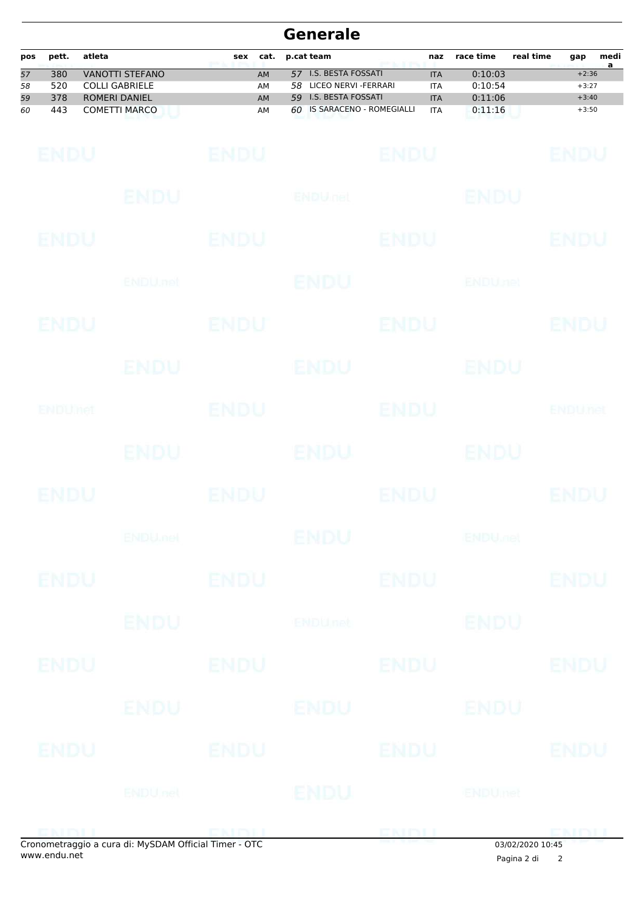| pos | pett. | atleta               | sex | cat. | p.cat team                  | naz        | race time | real time | gap     | medi |
|-----|-------|----------------------|-----|------|-----------------------------|------------|-----------|-----------|---------|------|
| 57  | 380   | VANOTTI STEFANO      |     | AM   | 57 I.S. BESTA FOSSATI       | <b>ITA</b> | 0:10:03   |           | $+2:36$ |      |
| 58  | 520   | COLLI GABRIELE       |     | AМ   | LICEO NERVI -FERRARI<br>58. | <b>ITA</b> | 0:10:54   |           | $+3:27$ |      |
| 59  | 378   | <b>ROMERI DANIEL</b> |     | AM   | 59 I.S. BESTA FOSSATI       | <b>ITA</b> | 0:11:06   |           | $+3:40$ |      |
| 60  | 443   | COMETTI MARCO        |     | AM   | 60 IS SARACENO - ROMEGIALLI | <b>ITA</b> | 0:11:16   |           | $+3:50$ |      |

| <b>ENDU</b> |                           | <b>ENDU</b> |                                                   | <b>ENDU</b>  |                           | <b>ENDU</b>    |
|-------------|---------------------------|-------------|---------------------------------------------------|--------------|---------------------------|----------------|
|             | ENDU                      |             | ENDULIEL                                          |              | <b>BNDU</b>               |                |
| <b>ENDU</b> |                           | ENDU        |                                                   | <b>ENDU</b>  |                           | <b>ENDU</b>    |
|             | ENDU.net                  |             | <b>ENDU</b>                                       |              | <b>ENDUnet</b>            |                |
| ENDU        |                           | ENDU        |                                                   | <b>ENDU</b>  |                           | ENDU           |
|             | ENDU                      |             | <b>ENDU</b>                                       |              | ENDU                      |                |
| ENDUNCT     |                           | <b>ENDU</b> |                                                   | ENDU         |                           | <b>ENDUnet</b> |
|             | ENDU.                     |             | ENDU                                              |              | <b>ENDU</b>               |                |
| <b>ENDU</b> |                           | <b>ENDU</b> |                                                   | <b>ENDU</b>  |                           | <b>ENDU</b>    |
|             | <b>ENDU<sub>met</sub></b> |             | <b>ENDU</b>                                       |              | <b>ENDU<sub>JOE</sub></b> |                |
| <b>ENDU</b> |                           | <b>ENDU</b> |                                                   | <b>ENDU</b>  |                           | <b>ENDU</b>    |
|             | <b>ENDU</b>               |             | <b>ENDU<sub>net</sub></b>                         |              | <b>ENDU</b>               |                |
| <b>ENDU</b> | ENDU                      |             | ENDU ENDU                                         |              |                           |                |
|             |                           | ENDU ENDU   |                                                   | ENDU         |                           |                |
| ENDU        | ENDU                      |             | ENDU ENDU                                         |              |                           |                |
|             |                           |             | ENDUact ENDU                                      |              |                           |                |
|             |                           |             | perpetraggie a cura di MuSDAM Official Timer. OTC | <b>ENDEL</b> |                           | <b>ENDLI</b>   |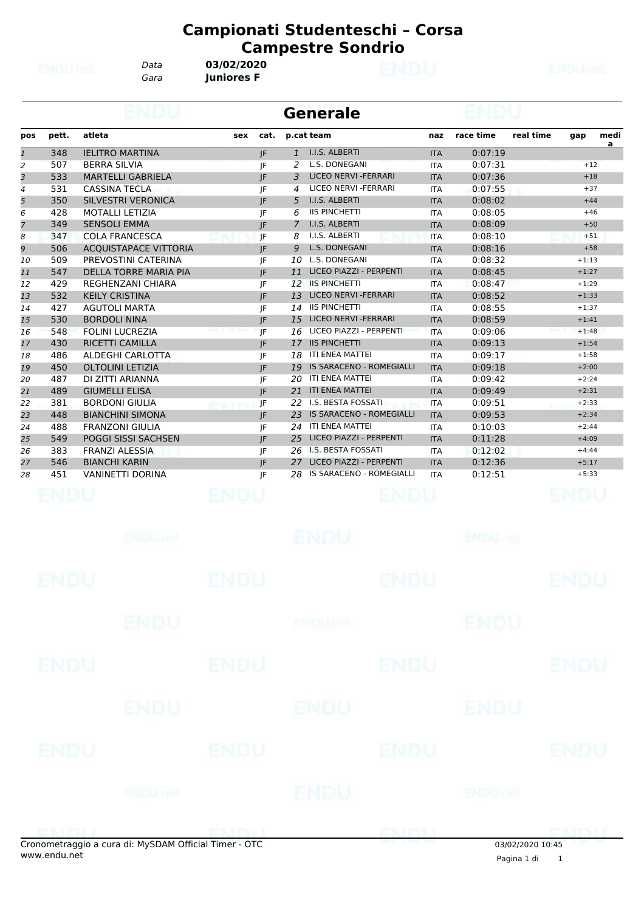*Gara* **Juniores F**

*Data* **03/02/2020**

|                |       |                              | <b>Generale</b> |      |              |                                 |            |           |           |         |           |  |  |
|----------------|-------|------------------------------|-----------------|------|--------------|---------------------------------|------------|-----------|-----------|---------|-----------|--|--|
| pos            | pett. | atleta                       | sex             | cat. |              | p.cat team                      | naz        | race time | real time | gap     | medi<br>a |  |  |
| $\mathbf{1}$   | 348   | <b>IELITRO MARTINA</b>       |                 | IF   | $\mathbf{1}$ | <b>I.I.S. ALBERTI</b>           | <b>ITA</b> | 0:07:19   |           |         |           |  |  |
| 2              | 507   | <b>BERRA SILVIA</b>          |                 | IF   | 2            | L.S. DONEGANI                   | <b>ITA</b> | 0:07:31   |           | $+12$   |           |  |  |
| 3              | 533   | <b>MARTELLI GABRIELA</b>     |                 | IF   | 3            | LICEO NERVI - FERRARI           | <b>ITA</b> | 0:07:36   |           | $+18$   |           |  |  |
| 4              | 531   | <b>CASSINA TECLA</b>         |                 | IF   | 4            | LICEO NERVI - FERRARI           | <b>ITA</b> | 0:07:55   |           | $+37$   |           |  |  |
| 5              | 350   | <b>SILVESTRI VERONICA</b>    |                 | IF   | 5            | I.I.S. ALBERTI                  | <b>ITA</b> | 0:08:02   |           | $+44$   |           |  |  |
| 6              | 428   | <b>MOTALLI LETIZIA</b>       |                 | IF   | 6            | <b>IIS PINCHETTI</b>            | <b>ITA</b> | 0:08:05   |           | $+46$   |           |  |  |
| $\overline{7}$ | 349   | <b>SENSOLI EMMA</b>          |                 | IF   | 7            | <b>I.I.S. ALBERTI</b>           | <b>ITA</b> | 0:08:09   |           | $+50$   |           |  |  |
| 8              | 347   | <b>COLA FRANCESCA</b>        |                 | IF   | 8            | I.I.S. ALBERTI                  | <b>ITA</b> | 0:08:10   |           | $+51$   |           |  |  |
| 9              | 506   | <b>ACOUISTAPACE VITTORIA</b> |                 | IF   | 9            | L.S. DONEGANI                   | <b>ITA</b> | 0:08:16   |           | $+58$   |           |  |  |
| 10             | 509   | PREVOSTINI CATERINA          |                 | IF   | 10           | L.S. DONEGANI                   | <b>ITA</b> | 0:08:32   |           | $+1:13$ |           |  |  |
| 11             | 547   | <b>DELLA TORRE MARIA PIA</b> |                 | IF   | 11           | LICEO PIAZZI - PERPENTI         | <b>ITA</b> | 0:08:45   |           | $+1:27$ |           |  |  |
| 12             | 429   | <b>REGHENZANI CHIARA</b>     |                 | IF   | 12           | <b>IIS PINCHETTI</b>            | <b>ITA</b> | 0:08:47   |           | $+1:29$ |           |  |  |
| 13             | 532   | <b>KEILY CRISTINA</b>        |                 | IF   | 13           | <b>LICEO NERVI - FERRARI</b>    | <b>ITA</b> | 0:08:52   |           | $+1:33$ |           |  |  |
| 14             | 427   | <b>AGUTOLI MARTA</b>         |                 | IF   | 14           | <b>IIS PINCHETTI</b>            | <b>ITA</b> | 0:08:55   |           | $+1:37$ |           |  |  |
| 15             | 530   | <b>BORDOLI NINA</b>          |                 | IF   | 15           | <b>LICEO NERVI - FERRARI</b>    | <b>ITA</b> | 0:08:59   |           | $+1:41$ |           |  |  |
| 16             | 548   | <b>FOLINI LUCREZIA</b>       |                 | IF   | 16           | LICEO PIAZZI - PERPENTI         | <b>ITA</b> | 0:09:06   |           | $+1:48$ |           |  |  |
| 17             | 430   | <b>RICETTI CAMILLA</b>       |                 | IF   | 17           | <b>IIS PINCHETTI</b>            | <b>ITA</b> | 0:09:13   |           | $+1:54$ |           |  |  |
| 18             | 486   | ALDEGHI CARLOTTA             |                 | IF   | 18           | <b>ITI ENEA MATTEI</b>          | <b>ITA</b> | 0:09:17   |           | $+1:58$ |           |  |  |
| 19             | 450   | <b>OLTOLINI LETIZIA</b>      |                 | IF   | 19           | <b>IS SARACENO - ROMEGIALLI</b> | <b>ITA</b> | 0:09:18   |           | $+2:00$ |           |  |  |
| 20             | 487   | DI ZITTI ARIANNA             |                 | IF   | 20           | <b>ITI ENEA MATTEI</b>          | <b>ITA</b> | 0:09:42   |           | $+2:24$ |           |  |  |
| 21             | 489   | <b>GIUMELLI ELISA</b>        |                 | JF   | 21           | <b>ITI ENEA MATTEI</b>          | <b>ITA</b> | 0:09:49   |           | $+2:31$ |           |  |  |
| 22             | 381   | <b>BORDONI GIULIA</b>        |                 | IF   | 22           | <b>I.S. BESTA FOSSATI</b>       | <b>ITA</b> | 0:09:51   |           | $+2:33$ |           |  |  |
| 23             | 448   | <b>BIANCHINI SIMONA</b>      |                 | JF.  | 23           | <b>IS SARACENO - ROMEGIALLI</b> | <b>ITA</b> | 0:09:53   |           | $+2:34$ |           |  |  |
| 24             | 488   | <b>FRANZONI GIULIA</b>       |                 | IF   | 24           | <b>ITI ENEA MATTEI</b>          | <b>ITA</b> | 0:10:03   |           | $+2:44$ |           |  |  |
| 25             | 549   | <b>POGGI SISSI SACHSEN</b>   |                 | IF   | 25           | LICEO PIAZZI - PERPENTI         | <b>ITA</b> | 0:11:28   |           | $+4:09$ |           |  |  |
| 26             | 383   | <b>FRANZI ALESSIA</b>        |                 | IF   | 26           | <b>I.S. BESTA FOSSATI</b>       | <b>ITA</b> | 0:12:02   |           | $+4:44$ |           |  |  |
| 27             | 546   | <b>BIANCHI KARIN</b>         |                 | JF.  | 27           | LICEO PIAZZI - PERPENTI         | <b>ITA</b> | 0:12:36   |           | $+5:17$ |           |  |  |
| 28             | 451   | <b>VANINETTI DORINA</b>      |                 | IF   | 28           | <b>IS SARACENO - ROMEGIALLI</b> | <b>ITA</b> | 0:12:51   |           | $+5:33$ |           |  |  |
|                |       |                              |                 |      |              |                                 |            |           |           |         |           |  |  |

|               | <b>ENDUMBL</b> |                     | <b>ENDU</b>    |             | <b>ENDU<sub>JO</sub></b> |                 |
|---------------|----------------|---------------------|----------------|-------------|--------------------------|-----------------|
| <b>ENDU</b>   |                | <b>ENDU</b>         |                | <b>ENDU</b> |                          | <b>ENDU</b>     |
|               | <b>ENDU</b>    |                     | <b>ENDUnet</b> |             | <b>ENDU</b>              |                 |
| <b>ENDU</b>   |                | <b>ENDU</b>         |                | <b>ENDU</b> |                          | <b>ENDU</b>     |
|               | <b>ENDU</b>    |                     | <b>ENDU</b>    |             | ENDU                     |                 |
| <b>ENDU</b>   |                | <b>ENDU</b>         |                | <b>ENDU</b> |                          | <b>ENDU</b>     |
|               | <b>ENDUnet</b> |                     | ENDU           |             | ENDUmet                  |                 |
| <b>EXTENT</b> |                | <b>PERMITTER IN</b> |                | <b>ENTY</b> |                          | <b>COMENTAL</b> |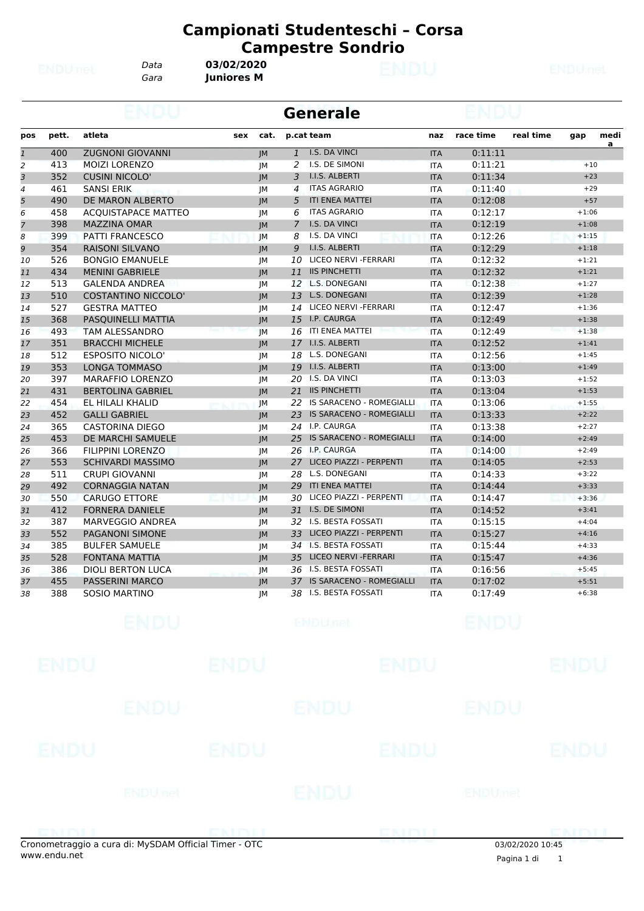*Gara* **Juniores M**

*Data* **03/02/2020**

|                |       |                            |     |           |                | <b>Generale</b>                 |            |           |           |         |                |
|----------------|-------|----------------------------|-----|-----------|----------------|---------------------------------|------------|-----------|-----------|---------|----------------|
| pos            | pett. | atleta                     | sex | cat.      | p.cat team     |                                 | naz        | race time | real time | gap     | medi           |
| $\overline{1}$ | 400   | <b>ZUGNONI GIOVANNI</b>    |     | IM        | $\mathbf{1}$   | I.S. DA VINCI                   | <b>ITA</b> | 0:11:11   |           |         | $\overline{a}$ |
| 2              | 413   | <b>MOIZI LORENZO</b>       |     | <b>IM</b> | 2              | I.S. DE SIMONI                  | <b>ITA</b> | 0:11:21   |           | $+10$   |                |
| 3              | 352   | <b>CUSINI NICOLO'</b>      |     | JM        | 3              | I.I.S. ALBERTI                  | <b>ITA</b> | 0:11:34   |           | $+23$   |                |
| $\overline{4}$ | 461   | <b>SANSI ERIK</b>          |     | JM        | 4              | <b>ITAS AGRARIO</b>             | <b>ITA</b> | 0:11:40   |           | $+29$   |                |
| 5              | 490   | DE MARON ALBERTO           |     | IM        | 5              | <b>ITI ENEA MATTEI</b>          | <b>ITA</b> | 0:12:08   |           | $+57$   |                |
| 6              | 458   | <b>ACQUISTAPACE MATTEO</b> |     | JM        | 6              | <b>ITAS AGRARIO</b>             | <b>ITA</b> | 0:12:17   |           | $+1:06$ |                |
| $\overline{7}$ | 398   | <b>MAZZINA OMAR</b>        |     | JM        | $\overline{7}$ | I.S. DA VINCI                   | <b>ITA</b> | 0:12:19   |           | $+1:08$ |                |
| 8              | 399   | <b>PATTI FRANCESCO</b>     |     | JМ        | 8              | I.S. DA VINCI                   | <b>ITA</b> | 0:12:26   |           | $+1:15$ |                |
| 9              | 354   | RAISONI SILVANO            |     | JM        | 9              | I.I.S. ALBERTI                  | <b>ITA</b> | 0:12:29   |           | $+1:18$ |                |
| 10             | 526   | <b>BONGIO EMANUELE</b>     |     | JM        | 10             | LICEO NERVI - FERRARI           | <b>ITA</b> | 0:12:32   |           | $+1:21$ |                |
| 11             | 434   | <b>MENINI GABRIELE</b>     |     | JM        | 11             | <b>IIS PINCHETTI</b>            | <b>ITA</b> | 0:12:32   |           | $+1:21$ |                |
| 12             | 513   | <b>GALENDA ANDREA</b>      |     | JM        |                | 12 L.S. DONEGANI                | <b>ITA</b> | 0:12:38   |           | $+1:27$ |                |
| 13             | 510   | <b>COSTANTINO NICCOLO'</b> |     | JM        | 13             | <b>L.S. DONEGANI</b>            | <b>ITA</b> | 0:12:39   |           | $+1:28$ |                |
| 14             | 527   | <b>GESTRA MATTEO</b>       |     | JМ        |                | 14 LICEO NERVI - FERRARI        | <b>ITA</b> | 0:12:47   |           | $+1:36$ |                |
| 15             | 368   | PASQUINELLI MATTIA         |     | IM        |                | 15 I.P. CAURGA                  | <b>ITA</b> | 0:12:49   |           | $+1:38$ |                |
| 16             | 493   | <b>TAM ALESSANDRO</b>      |     | <b>IM</b> | 16             | ITI ENEA MATTEI                 | <b>ITA</b> | 0:12:49   |           | $+1:38$ |                |
| 17             | 351   | <b>BRACCHI MICHELE</b>     |     | IM        | 17             | I.I.S. ALBERTI                  | <b>ITA</b> | 0:12:52   |           | $+1:41$ |                |
| 18             | 512   | <b>ESPOSITO NICOLO'</b>    |     | <b>JM</b> | 18             | L.S. DONEGANI                   | <b>ITA</b> | 0:12:56   |           | $+1:45$ |                |
| 19             | 353   | <b>LONGA TOMMASO</b>       |     | IM        | 19             | I.I.S. ALBERTI                  | <b>ITA</b> | 0:13:00   |           | $+1:49$ |                |
| 20             | 397   | <b>MARAFFIO LORENZO</b>    |     | JМ        |                | 20 I.S. DA VINCI                | <b>ITA</b> | 0:13:03   |           | $+1:52$ |                |
| 21             | 431   | <b>BERTOLINA GABRIEL</b>   |     | IM        |                | 21 IIS PINCHETTI                | <b>ITA</b> | 0:13:04   |           | $+1:53$ |                |
| 22             | 454   | EL HILALI KHALID           |     | IM        |                | 22 IS SARACENO - ROMEGIALLI     | <b>ITA</b> | 0:13:06   |           | $+1:55$ |                |
| 23             | 452   | <b>GALLI GABRIEL</b>       |     | JM        | 23             | <b>IS SARACENO - ROMEGIALLI</b> | <b>ITA</b> | 0:13:33   |           | $+2:22$ |                |
| 24             | 365   | <b>CASTORINA DIEGO</b>     |     | JM        |                | 24 I.P. CAURGA                  | <b>ITA</b> | 0:13:38   |           | $+2:27$ |                |
| 25             | 453   | DE MARCHI SAMUELE          |     | JM        | 25             | IS SARACENO - ROMEGIALLI        | <b>ITA</b> | 0:14:00   |           | $+2:49$ |                |
| 26             | 366   | <b>FILIPPINI LORENZO</b>   |     | JM        |                | 26 I.P. CAURGA                  | <b>ITA</b> | 0:14:00   |           | $+2:49$ |                |
| 27             | 553   | <b>SCHIVARDI MASSIMO</b>   |     | JM        | 27             | LICEO PIAZZI - PERPENTI         | <b>ITA</b> | 0:14:05   |           | $+2:53$ |                |
| 28             | 511   | <b>CRUPI GIOVANNI</b>      |     | JМ        | 28             | L.S. DONEGANI                   | <b>ITA</b> | 0:14:33   |           | $+3:22$ |                |
| 29             | 492   | <b>CORNAGGIA NATAN</b>     |     | JM        | 29             | <b>ITI ENEA MATTEI</b>          | <b>ITA</b> | 0:14:44   |           | $+3:33$ |                |
| 30             | 550   | <b>CARUGO ETTORE</b>       |     | JM        | 30             | LICEO PIAZZI - PERPENTI         | <b>ITA</b> | 0:14:47   |           | $+3:36$ |                |
| 31             | 412   | <b>FORNERA DANIELE</b>     |     | JM        |                | 31 I.S. DE SIMONI               | <b>ITA</b> | 0:14:52   |           | $+3:41$ |                |
| 32             | 387   | MARVEGGIO ANDREA           |     | JМ        |                | 32 I.S. BESTA FOSSATI           | <b>ITA</b> | 0:15:15   |           | $+4:04$ |                |
| 33             | 552   | <b>PAGANONI SIMONE</b>     |     | IM        | 33             | LICEO PIAZZI - PERPENTI         | <b>ITA</b> | 0:15:27   |           | $+4:16$ |                |
| 34             | 385   | <b>BULFER SAMUELE</b>      |     | JМ        |                | 34 I.S. BESTA FOSSATI           | <b>ITA</b> | 0:15:44   |           | $+4:33$ |                |
| 35             | 528   | <b>FONTANA MATTIA</b>      |     | IM        | 35             | LICEO NERVI - FERRARI           | <b>ITA</b> | 0:15:47   |           | $+4:36$ |                |
| 36             | 386   | <b>DIOLI BERTON LUCA</b>   |     | JМ        | 36             | <b>I.S. BESTA FOSSATI</b>       | <b>ITA</b> | 0:16:56   |           | $+5:45$ |                |
| 37             | 455   | <b>PASSERINI MARCO</b>     |     | IM        | 37             | <b>IS SARACENO - ROMEGIALLI</b> | <b>ITA</b> | 0:17:02   |           | $+5:51$ |                |
| 38             | 388   | <b>SOSIO MARTINO</b>       |     | JМ        | 38             | I.S. BESTA FOSSATI              | <b>ITA</b> | 0:17:49   |           | $+6:38$ |                |
|                |       | unu                        |     |           |                | <b>ENDU<sub>net</sub></b>       |            |           |           |         |                |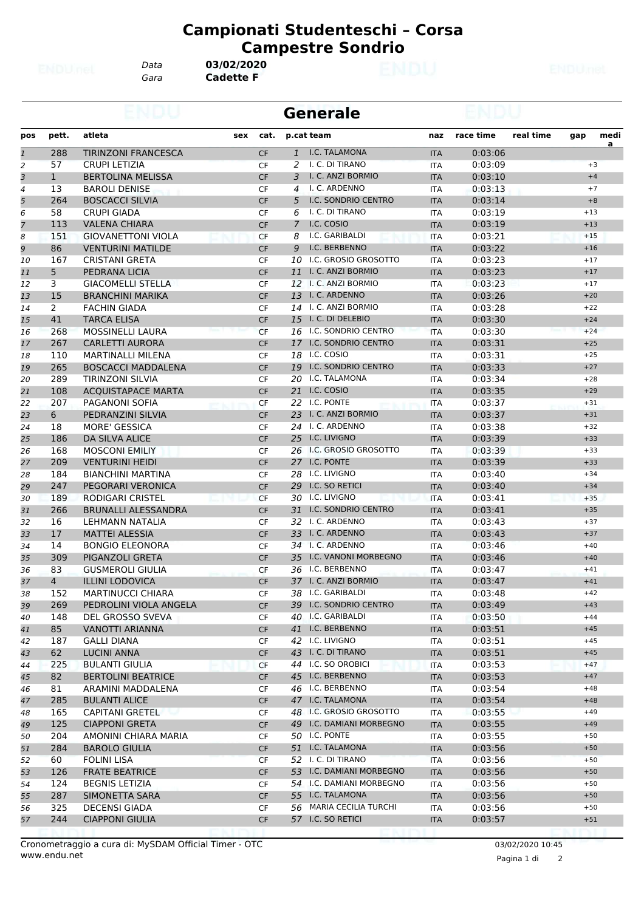*Data* **03/02/2020**

*Gara* **Cadette F**

|                |                |                            |     |           | <b>Generale</b> |                            |            |           |           |       |           |
|----------------|----------------|----------------------------|-----|-----------|-----------------|----------------------------|------------|-----------|-----------|-------|-----------|
| pos            | pett.          | atleta                     | sex | cat.      |                 | p.cat team                 | naz        | race time | real time | gap   | medi<br>a |
| $\mathbf{1}$   | 288            | <b>TIRINZONI FRANCESCA</b> |     | <b>CF</b> | $\mathbf{1}$    | I.C. TALAMONA              | <b>ITA</b> | 0:03:06   |           |       |           |
| $\overline{a}$ | 57             | <b>CRUPI LETIZIA</b>       |     | <b>CF</b> | 2               | I. C. DI TIRANO            | <b>ITA</b> | 0:03:09   |           |       | $+3$      |
| 3              | $\mathbf{1}$   | <b>BERTOLINA MELISSA</b>   |     | <b>CF</b> | 3               | I. C. ANZI BORMIO          | <b>ITA</b> | 0:03:10   |           |       | $+4$      |
| 4              | 13             | <b>BAROLI DENISE</b>       |     | <b>CF</b> | 4               | I. C. ARDENNO              | <b>ITA</b> | 0:03:13   |           |       | $+7$      |
| 5              | 264            | <b>BOSCACCI SILVIA</b>     |     | <b>CF</b> | 5               | <b>I.C. SONDRIO CENTRO</b> | <b>ITA</b> | 0:03:14   |           |       | $+8$      |
| 6              | 58             | <b>CRUPI GIADA</b>         |     | <b>CF</b> | 6               | I. C. DI TIRANO            | <b>ITA</b> | 0:03:19   |           | $+13$ |           |
| $\overline{7}$ | 113            | <b>VALENA CHIARA</b>       |     | <b>CF</b> | 7               | I.C. COSIO                 | <b>ITA</b> | 0:03:19   |           | $+13$ |           |
| 8              | 151            | <b>GIOVANETTONI VIOLA</b>  |     | CF        | 8               | I.C. GARIBALDI             | <b>ITA</b> | 0:03:21   |           | $+15$ |           |
| 9              | 86             | <b>VENTURINI MATILDE</b>   |     | <b>CF</b> | 9               | I.C. BERBENNO              | <b>ITA</b> | 0:03:22   |           | $+16$ |           |
| 10             | 167            | <b>CRISTANI GRETA</b>      |     | <b>CF</b> | 10              | I.C. GROSIO GROSOTTO       | <b>ITA</b> | 0:03:23   |           | $+17$ |           |
| 11             | 5              | PEDRANA LICIA              |     | <b>CF</b> | 11              | I. C. ANZI BORMIO          | <b>ITA</b> | 0:03:23   |           | $+17$ |           |
| 12             | 3              | <b>GIACOMELLI STELLA</b>   |     | <b>CF</b> |                 | 12 I. C. ANZI BORMIO       | <b>ITA</b> | 0:03:23   |           | $+17$ |           |
| 13             | 15             | <b>BRANCHINI MARIKA</b>    |     | <b>CF</b> |                 | 13 I. C. ARDENNO           | <b>ITA</b> | 0:03:26   |           | $+20$ |           |
| 14             | $\mathbf{2}$   | <b>FACHIN GIADA</b>        |     | CF        |                 | 14 I. C. ANZI BORMIO       | <b>ITA</b> | 0:03:28   |           | $+22$ |           |
| 15             | 41             | <b>TARCA ELISA</b>         |     | <b>CF</b> |                 | 15 I. C. DI DELEBIO        | <b>ITA</b> | 0:03:30   |           | $+24$ |           |
| 16             | 268            | <b>MOSSINELLI LAURA</b>    |     | <b>CF</b> | 16              | I.C. SONDRIO CENTRO        | <b>ITA</b> | 0:03:30   |           | $+24$ |           |
|                | 267            | <b>CARLETTI AURORA</b>     |     | <b>CF</b> |                 | 17 I.C. SONDRIO CENTRO     | <b>ITA</b> | 0:03:31   |           | $+25$ |           |
| 17             |                | <b>MARTINALLI MILENA</b>   |     |           |                 | 18 I.C. COSIO              |            | 0:03:31   |           | $+25$ |           |
| 18             | 110            |                            |     | <b>CF</b> |                 | <b>I.C. SONDRIO CENTRO</b> | <b>ITA</b> |           |           |       |           |
| 19             | 265            | <b>BOSCACCI MADDALENA</b>  |     | <b>CF</b> | 19              |                            | <b>ITA</b> | 0:03:33   |           | $+27$ |           |
| 20             | 289            | <b>TIRINZONI SILVIA</b>    |     | <b>CF</b> | 20              | I.C. TALAMONA              | <b>ITA</b> | 0:03:34   |           | $+28$ |           |
| 21             | 108            | <b>ACQUISTAPACE MARTA</b>  |     | <b>CF</b> |                 | 21 I.C. COSIO              | <b>ITA</b> | 0:03:35   |           | $+29$ |           |
| 22             | 207            | <b>PAGANONI SOFIA</b>      |     | CF        | 22              | I.C. PONTE                 | ITA        | 0:03:37   |           | $+31$ |           |
| 23             | 6              | PEDRANZINI SILVIA          |     | <b>CF</b> |                 | 23 I. C. ANZI BORMIO       | <b>ITA</b> | 0:03:37   |           | $+31$ |           |
| 24             | 18             | <b>MORE' GESSICA</b>       |     | <b>CF</b> | 24              | I. C. ARDENNO              | <b>ITA</b> | 0:03:38   |           | $+32$ |           |
| 25             | 186            | <b>DA SILVA ALICE</b>      |     | <b>CF</b> | 25              | I.C. LIVIGNO               | <b>ITA</b> | 0:03:39   |           | $+33$ |           |
| 26             | 168            | <b>MOSCONI EMILIY</b>      |     | CF        |                 | 26 I.C. GROSIO GROSOTTO    | <b>ITA</b> | 0:03:39   |           | $+33$ |           |
| 27             | 209            | <b>VENTURINI HEIDI</b>     |     | <b>CF</b> |                 | 27 I.C. PONTE              | <b>ITA</b> | 0:03:39   |           | $+33$ |           |
| 28             | 184            | <b>BIANCHINI MARTINA</b>   |     | <b>CF</b> | 28              | I.C. LIVIGNO               | <b>ITA</b> | 0:03:40   |           | $+34$ |           |
| 29             | 247            | PEGORARI VERONICA          |     | <b>CF</b> |                 | 29 I.C. SO RETICI          | <b>ITA</b> | 0:03:40   |           | $+34$ |           |
| 30             | 189            | RODIGARI CRISTEL           |     | <b>CF</b> | 30              | I.C. LIVIGNO               | <b>ITA</b> | 0:03:41   |           | $+35$ |           |
| 31             | 266            | <b>BRUNALLI ALESSANDRA</b> |     | <b>CF</b> | 31              | I.C. SONDRIO CENTRO        | <b>ITA</b> | 0:03:41   |           | $+35$ |           |
| 32             | 16             | LEHMANN NATALIA            |     | <b>CF</b> |                 | 32 I. C. ARDENNO           | <b>ITA</b> | 0:03:43   |           | $+37$ |           |
| 33             | 17             | <b>MATTEI ALESSIA</b>      |     | <b>CF</b> |                 | 33 I. C. ARDENNO           | <b>ITA</b> | 0:03:43   |           | $+37$ |           |
| 34             | 14             | <b>BONGIO ELEONORA</b>     |     | CF        |                 | 34 I. C. ARDENNO           | ITA        | 0:03:46   |           | $+40$ |           |
| 35             | 309            | PIGANZOLI GRETA            |     | <b>CF</b> |                 | 35 I.C. VANONI MORBEGNO    | <b>ITA</b> | 0:03:46   |           | $+40$ |           |
| 36             | 83             | <b>GUSMEROLI GIULIA</b>    |     | <b>CF</b> | 36              | I.C. BERBENNO              | <b>ITA</b> | 0:03:47   |           | $+41$ |           |
| 37             | $\overline{4}$ | <b>ILLINI LODOVICA</b>     |     | <b>CF</b> |                 | 37 I. C. ANZI BORMIO       | <b>ITA</b> | 0:03:47   |           | $+41$ |           |
| 38             | 152            | <b>MARTINUCCI CHIARA</b>   |     | CF        |                 | 38 I.C. GARIBALDI          | ITA        | 0:03:48   |           | $+42$ |           |
| 39             | 269            | PEDROLINI VIOLA ANGELA     |     | <b>CF</b> |                 | 39 I.C. SONDRIO CENTRO     | <b>ITA</b> | 0:03:49   |           | $+43$ |           |
| 40             | 148            | <b>DEL GROSSO SVEVA</b>    |     | CF        |                 | 40 I.C. GARIBALDI          | ITA        | 0:03:50   |           | $+44$ |           |
| 41             | 85             | VANOTTI ARIANNA            |     | <b>CF</b> |                 | 41 I.C. BERBENNO           | <b>ITA</b> | 0:03:51   |           | $+45$ |           |
| 42             | 187            | <b>GALLI DIANA</b>         |     | CF        |                 | 42 I.C. LIVIGNO            | ITA        | 0:03:51   |           | $+45$ |           |
| 43             | 62             | <b>LUCINI ANNA</b>         |     | <b>CF</b> |                 | 43 I. C. DI TIRANO         | <b>ITA</b> | 0:03:51   |           | $+45$ |           |
| 44             | 225            | <b>BULANTI GIULIA</b>      |     | CF        |                 | 44 I.C. SO OROBICI         | ITA        | 0:03:53   |           | $+47$ |           |
|                | 82             | <b>BERTOLINI BEATRICE</b>  |     |           |                 | 45 I.C. BERBENNO           |            | 0:03:53   |           | $+47$ |           |
| 45             |                |                            |     | <b>CF</b> |                 |                            | <b>ITA</b> |           |           |       |           |
| 46             | 81             | ARAMINI MADDALENA          |     | CF        |                 | 46 I.C. BERBENNO           | ITA        | 0:03:54   |           | $+48$ |           |
| 47             | 285            | <b>BULANTI ALICE</b>       |     | <b>CF</b> |                 | 47 I.C. TALAMONA           | <b>ITA</b> | 0:03:54   |           | $+48$ |           |
| 48             | 165            | <b>CAPITANI GRETEL</b>     |     | CF        |                 | 48 I.C. GROSIO GROSOTTO    | <b>ITA</b> | 0:03:55   |           | $+49$ |           |
| 49             | 125            | <b>CIAPPONI GRETA</b>      |     | <b>CF</b> |                 | 49 I.C. DAMIANI MORBEGNO   | <b>ITA</b> | 0:03:55   |           | $+49$ |           |
| 50             | 204            | AMONINI CHIARA MARIA       |     | CF        |                 | 50 I.C. PONTE              | ITA        | 0:03:55   |           | $+50$ |           |
| 51             | 284            | <b>BAROLO GIULIA</b>       |     | <b>CF</b> |                 | 51 I.C. TALAMONA           | <b>ITA</b> | 0:03:56   |           | $+50$ |           |
| 52             | 60             | <b>FOLINI LISA</b>         |     | CF        |                 | 52 I. C. DI TIRANO         | <b>ITA</b> | 0:03:56   |           | $+50$ |           |
| 53             | 126            | <b>FRATE BEATRICE</b>      |     | <b>CF</b> |                 | 53 I.C. DAMIANI MORBEGNO   | <b>ITA</b> | 0:03:56   |           | $+50$ |           |
| 54             | 124            | <b>BEGNIS LETIZIA</b>      |     | CF        |                 | 54 I.C. DAMIANI MORBEGNO   | ITA        | 0:03:56   |           | $+50$ |           |
| 55             | 287            | SIMONETTA SARA             |     | <b>CF</b> |                 | 55 I.C. TALAMONA           | <b>ITA</b> | 0:03:56   |           | $+50$ |           |
| 56             | 325            | <b>DECENSI GIADA</b>       |     | CF        |                 | 56 MARIA CECILIA TURCHI    | ITA        | 0:03:56   |           | $+50$ |           |
| 57             | 244            | <b>CIAPPONI GIULIA</b>     |     | <b>CF</b> |                 | 57 I.C. SO RETICI          | <b>ITA</b> | 0:03:57   |           | $+51$ |           |
|                |                |                            |     |           |                 |                            |            |           |           |       |           |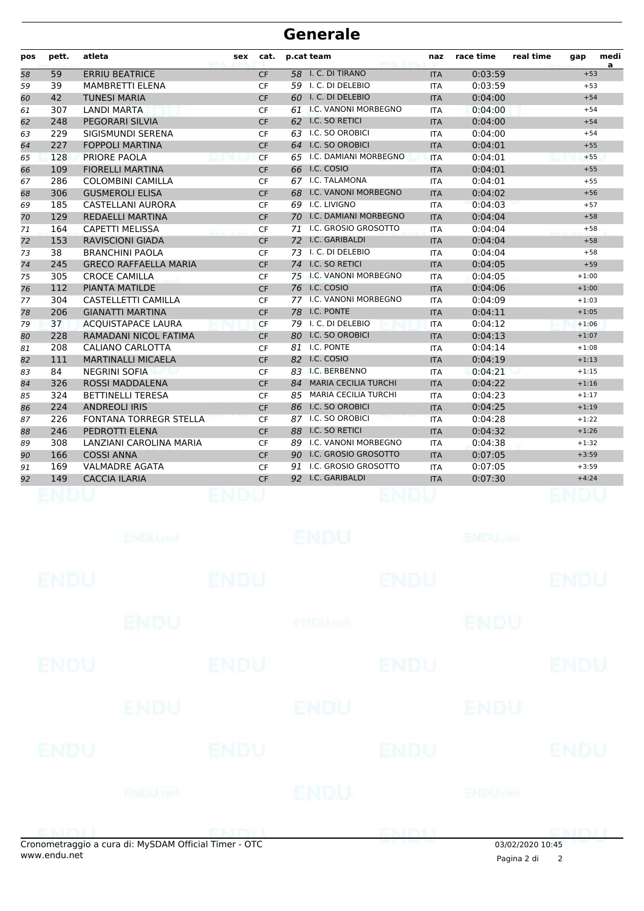| pos | pett. | atleta                        | <b>sex</b> | cat.      | p.cat team      |                             | naz        | race time | real time | gap     | medi<br>a |
|-----|-------|-------------------------------|------------|-----------|-----------------|-----------------------------|------------|-----------|-----------|---------|-----------|
| 58  | 59    | <b>ERRIU BEATRICE</b>         |            | <b>CF</b> | 58              | I. C. DI TIRANO             | <b>ITA</b> | 0:03:59   |           | $+53$   |           |
| 59  | 39    | MAMBRETTI ELENA               |            | <b>CF</b> |                 | 59 I. C. DI DELEBIO         | <b>ITA</b> | 0:03:59   |           | $+53$   |           |
| 60  | 42    | <b>TUNESI MARIA</b>           |            | <b>CF</b> |                 | 60 I. C. DI DELEBIO         | <b>ITA</b> | 0:04:00   |           | $+54$   |           |
| 61  | 307   | <b>LANDI MARTA</b>            |            | <b>CF</b> | 61              | <b>I.C. VANONI MORBEGNO</b> | <b>ITA</b> | 0:04:00   |           | $+54$   |           |
| 62  | 248   | <b>PEGORARI SILVIA</b>        |            | <b>CF</b> | 62              | I.C. SO RETICI              | <b>ITA</b> | 0:04:00   |           | $+54$   |           |
| 63  | 229   | SIGISMUNDI SERENA             |            | <b>CF</b> | 63              | I.C. SO OROBICI             | <b>ITA</b> | 0:04:00   |           | $+54$   |           |
| 64  | 227   | <b>FOPPOLI MARTINA</b>        |            | <b>CF</b> | 64              | I.C. SO OROBICI             | <b>ITA</b> | 0:04:01   |           | $+55$   |           |
| 65  | 128   | PRIORE PAOLA                  |            | <b>CF</b> | 65              | I.C. DAMIANI MORBEGNO       | <b>ITA</b> | 0:04:01   |           | $+55$   |           |
| 66  | 109   | <b>FIORELLI MARTINA</b>       |            | <b>CF</b> | 66              | I.C. COSIO                  | <b>ITA</b> | 0:04:01   |           | $+55$   |           |
| 67  | 286   | <b>COLOMBINI CAMILLA</b>      |            | <b>CF</b> | 67              | I.C. TALAMONA               | <b>ITA</b> | 0:04:01   |           | $+55$   |           |
| 68  | 306   | <b>GUSMEROLI ELISA</b>        |            | <b>CF</b> | 68              | I.C. VANONI MORBEGNO        | <b>ITA</b> | 0:04:02   |           | $+56$   |           |
| 69  | 185   | <b>CASTELLANI AURORA</b>      |            | <b>CF</b> | 69 I.C. LIVIGNO |                             | <b>ITA</b> | 0:04:03   |           | $+57$   |           |
| 70  | 129   | <b>REDAELLI MARTINA</b>       |            | <b>CF</b> |                 | 70 I.C. DAMIANI MORBEGNO    | <b>ITA</b> | 0:04:04   |           | $+58$   |           |
| 71  | 164   | <b>CAPETTI MELISSA</b>        |            | <b>CF</b> | 71              | I.C. GROSIO GROSOTTO        | <b>ITA</b> | 0:04:04   |           | $+58$   |           |
| 72  | 153   | <b>RAVISCIONI GIADA</b>       |            | <b>CF</b> |                 | 72 I.C. GARIBALDI           | <b>ITA</b> | 0:04:04   |           | $+58$   |           |
| 73  | 38    | <b>BRANCHINI PAOLA</b>        |            | <b>CF</b> | 73              | I. C. DI DELEBIO            | <b>ITA</b> | 0:04:04   |           | $+58$   |           |
| 74  | 245   | <b>GRECO RAFFAELLA MARIA</b>  |            | <b>CF</b> |                 | 74 I.C. SO RETICI           | <b>ITA</b> | 0:04:05   |           | $+59$   |           |
| 75  | 305   | <b>CROCE CAMILLA</b>          |            | <b>CF</b> |                 | 75 I.C. VANONI MORBEGNO     | <b>ITA</b> | 0:04:05   |           | $+1:00$ |           |
| 76  | 112   | <b>PIANTA MATILDE</b>         |            | <b>CF</b> | 76 I.C. COSIO   |                             | <b>ITA</b> | 0:04:06   |           | $+1:00$ |           |
| 77  | 304   | CASTELLETTI CAMILLA           |            | <b>CF</b> |                 | 77 I.C. VANONI MORBEGNO     | <b>ITA</b> | 0:04:09   |           | $+1:03$ |           |
| 78  | 206   | <b>GIANATTI MARTINA</b>       |            | <b>CF</b> | 78 I.C. PONTE   |                             | <b>ITA</b> | 0:04:11   |           | $+1:05$ |           |
| 79  | 37    | <b>ACOUISTAPACE LAURA</b>     |            | <b>CF</b> |                 | 79 I. C. DI DELEBIO         | <b>ITA</b> | 0:04:12   |           | $+1:06$ |           |
| 80  | 228   | RAMADANI NICOL FATIMA         |            | <b>CF</b> |                 | 80 I.C. SO OROBICI          | <b>ITA</b> | 0:04:13   |           | $+1:07$ |           |
| 81  | 208   | CALIANO CARLOTTA              |            | <b>CF</b> | 81              | I.C. PONTE                  | <b>ITA</b> | 0:04:14   |           | $+1:08$ |           |
| 82  | 111   | <b>MARTINALLI MICAELA</b>     |            | <b>CF</b> | 82 I.C. COSIO   |                             | <b>ITA</b> | 0:04:19   |           | $+1:13$ |           |
| 83  | 84    | <b>NEGRINI SOFIA</b>          |            | <b>CF</b> |                 | 83 I.C. BERBENNO            | <b>ITA</b> | 0:04:21   |           | $+1:15$ |           |
| 84  | 326   | ROSSI MADDALENA               |            | <b>CF</b> | 84              | <b>MARIA CECILIA TURCHI</b> | <b>ITA</b> | 0:04:22   |           | $+1:16$ |           |
| 85  | 324   | <b>BETTINELLI TERESA</b>      |            | <b>CF</b> | 85              | <b>MARIA CECILIA TURCHI</b> | <b>ITA</b> | 0:04:23   |           | $+1:17$ |           |
| 86  | 224   | <b>ANDREOLI IRIS</b>          |            | <b>CF</b> | 86              | I.C. SO OROBICI             | <b>ITA</b> | 0:04:25   |           | $+1:19$ |           |
| 87  | 226   | <b>FONTANA TORREGR STELLA</b> |            | <b>CF</b> |                 | 87 I.C. SO OROBICI          | <b>ITA</b> | 0:04:28   |           | $+1:22$ |           |
| 88  | 246   | PEDROTTI ELENA                |            | <b>CF</b> | 88              | <b>I.C. SO RETICI</b>       | <b>ITA</b> | 0:04:32   |           | $+1:26$ |           |
| 89  | 308   | LANZIANI CAROLINA MARIA       |            | <b>CF</b> |                 | 89 I.C. VANONI MORBEGNO     | <b>ITA</b> | 0:04:38   |           | $+1:32$ |           |
| 90  | 166   | <b>COSSI ANNA</b>             |            | <b>CF</b> |                 | 90 I.C. GROSIO GROSOTTO     | <b>ITA</b> | 0:07:05   |           | $+3:59$ |           |
| 91  | 169   | <b>VALMADRE AGATA</b>         |            | <b>CF</b> | 91              | I.C. GROSIO GROSOTTO        | <b>ITA</b> | 0:07:05   |           | $+3:59$ |           |
| 92  | 149   | <b>CACCIA ILARIA</b>          |            | <b>CF</b> |                 | 92 I.C. GARIBALDI           | <b>ITA</b> | 0:07:30   |           | $+4:24$ |           |
|     |       |                               |            |           |                 |                             |            |           |           |         |           |

|             | anomatraggio a cura di: MySDAM Official Timor. OTC |             |                | ENDI        | <b>02/02/2020 10:45</b>   |             |
|-------------|----------------------------------------------------|-------------|----------------|-------------|---------------------------|-------------|
|             |                                                    |             |                |             |                           |             |
|             | <b>ENDUnet</b>                                     |             | ENDU           |             | ENDUmet                   |             |
| <b>ENDU</b> |                                                    | <b>ENDU</b> |                | <b>ENDU</b> |                           | <b>ENDU</b> |
|             | <b>ENDU</b>                                        |             | <b>ENDU</b>    |             | ENDU                      |             |
| ENDU        |                                                    | <b>ENDU</b> |                | <b>ENDU</b> |                           | <b>ENDU</b> |
|             | <b>ENDU</b>                                        |             | <b>ENDUnet</b> |             | <b>ENDU</b>               |             |
| <b>ENDU</b> |                                                    | <b>ENDU</b> |                | <b>ENDU</b> |                           | <b>ENDU</b> |
|             | <b>ENDU<sub>met</sub></b>                          |             | <b>ENDU</b>    |             | <b>ENDU<sub>Del</sub></b> |             |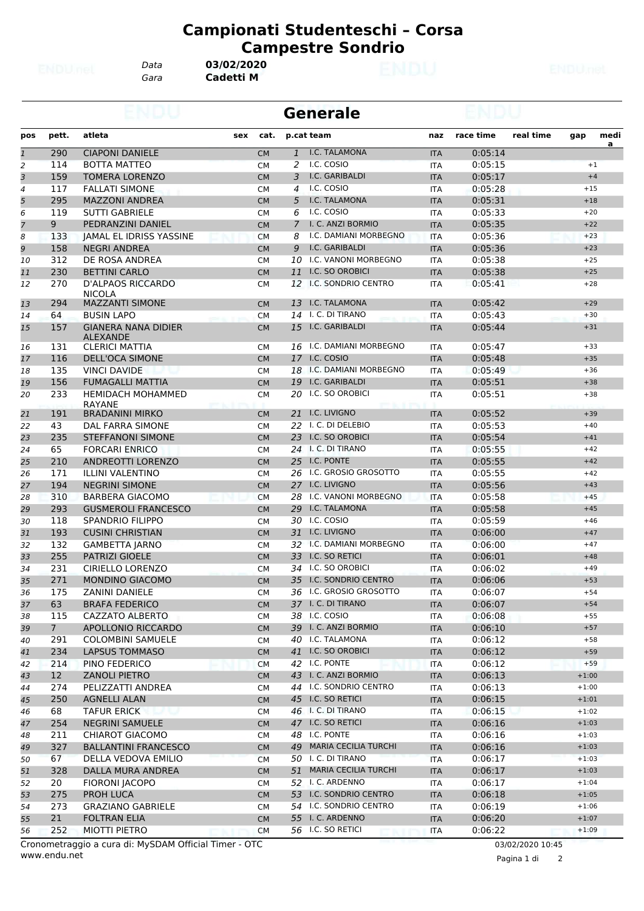*Data* **03/02/2020**

*Gara* **Cadetti M**

|                |                 |                                               |     | <b>Generale</b> |                |                          |            |           |           |         |                |
|----------------|-----------------|-----------------------------------------------|-----|-----------------|----------------|--------------------------|------------|-----------|-----------|---------|----------------|
| pos            | pett.           | atleta                                        | sex | cat.            |                | p.cat team               | naz        | race time | real time | gap     | medi           |
| $\mathbf{1}$   | 290             | <b>CIAPONI DANIELE</b>                        |     | <b>CM</b>       | $\mathbf{1}$   | I.C. TALAMONA            | <b>ITA</b> | 0:05:14   |           |         | $\overline{a}$ |
| 2              | 114             | <b>BOTTA MATTEO</b>                           |     | <b>CM</b>       | 2              | I.C. COSIO               | <b>ITA</b> | 0:05:15   |           | $+1$    |                |
| 3              | 159             | <b>TOMERA LORENZO</b>                         |     | <b>CM</b>       | 3              | I.C. GARIBALDI           | <b>ITA</b> | 0:05:17   |           | $+4$    |                |
| 4              | 117             | <b>FALLATI SIMONE</b>                         |     | <b>CM</b>       | 4              | I.C. COSIO               | <b>ITA</b> | 0:05:28   |           | $+15$   |                |
| 5              | 295             | <b>MAZZONI ANDREA</b>                         |     | <b>CM</b>       | 5              | I.C. TALAMONA            | <b>ITA</b> | 0:05:31   |           | $+18$   |                |
| 6              | 119             | <b>SUTTI GABRIELE</b>                         |     | <b>CM</b>       | 6              | I.C. COSIO               | ITA        | 0:05:33   |           | $+20$   |                |
| $\overline{7}$ | 9               | PEDRANZINI DANIEL                             |     | <b>CM</b>       | $\overline{7}$ | I. C. ANZI BORMIO        | <b>ITA</b> | 0:05:35   |           | $+22$   |                |
| 8              | 133             | JAMAL EL IDRISS YASSINE                       |     | <b>CM</b>       | 8              | I.C. DAMIANI MORBEGNO    | <b>ITA</b> | 0:05:36   |           | $+23$   |                |
| 9              | 158             | <b>NEGRI ANDREA</b>                           |     | <b>CM</b>       | 9              | I.C. GARIBALDI           | <b>ITA</b> | 0:05:36   |           | $+23$   |                |
| 10             | 312             | DE ROSA ANDREA                                |     | <b>CM</b>       |                | 10 I.C. VANONI MORBEGNO  | <b>ITA</b> | 0:05:38   |           | $+25$   |                |
| 11             | 230             | <b>BETTINI CARLO</b>                          |     | <b>CM</b>       |                | 11 I.C. SO OROBICI       | <b>ITA</b> | 0:05:38   |           | $+25$   |                |
| 12             | 270             | <b>D'ALPAOS RICCARDO</b><br><b>NICOLA</b>     |     | <b>CM</b>       |                | 12 I.C. SONDRIO CENTRO   | <b>ITA</b> | 0:05:41   |           | $+28$   |                |
| 13             | 294             | <b>MAZZANTI SIMONE</b>                        |     | <b>CM</b>       |                | 13 I.C. TALAMONA         | <b>ITA</b> | 0:05:42   |           | $+29$   |                |
| 14             | 64              | <b>BUSIN LAPO</b>                             |     | <b>CM</b>       |                | 14 I. C. DI TIRANO       | ITA        | 0:05:43   |           | $+30$   |                |
| 15             | 157             | <b>GIANERA NANA DIDIER</b><br><b>ALEXANDE</b> |     | <b>CM</b>       |                | 15 I.C. GARIBALDI        | <b>ITA</b> | 0:05:44   |           | $+31$   |                |
| 16             | 131             | <b>CLERICI MATTIA</b>                         |     | <b>CM</b>       |                | 16 I.C. DAMIANI MORBEGNO | <b>ITA</b> | 0:05:47   |           | $+33$   |                |
| 17             | 116             | <b>DELL'OCA SIMONE</b>                        |     | <b>CM</b>       |                | 17 I.C. COSIO            | <b>ITA</b> | 0:05:48   |           | $+35$   |                |
| 18             | 135             | <b>VINCI DAVIDE</b>                           |     | <b>CM</b>       |                | 18 I.C. DAMIANI MORBEGNO | <b>ITA</b> | 0:05:49   |           | $+36$   |                |
| 19             | 156             | <b>FUMAGALLI MATTIA</b>                       |     | <b>CM</b>       |                | 19 I.C. GARIBALDI        | <b>ITA</b> | 0:05:51   |           | $+38$   |                |
| 20             | 233             | <b>HEMIDACH MOHAMMED</b><br>RAYANE            |     | <b>CM</b>       | 20             | I.C. SO OROBICI          | ITA        | 0:05:51   |           | $+38$   |                |
| 21             | 191             | <b>BRADANINI MIRKO</b>                        |     | <b>CM</b>       |                | 21 I.C. LIVIGNO          | <b>ITA</b> | 0:05:52   |           | $+39$   |                |
| 22             | 43              | DAL FARRA SIMONE                              |     | <b>CM</b>       |                | 22 I. C. DI DELEBIO      | <b>ITA</b> | 0:05:53   |           | $+40$   |                |
| 23             | 235             | <b>STEFFANONI SIMONE</b>                      |     | <b>CM</b>       |                | 23 I.C. SO OROBICI       | <b>ITA</b> | 0:05:54   |           | $+41$   |                |
| 24             | 65              | <b>FORCARI ENRICO</b>                         |     | <b>CM</b>       |                | 24 I. C. DI TIRANO       | <b>ITA</b> | 0:05:55   |           | $+42$   |                |
| 25             | 210             | ANDREOTTI LORENZO                             |     | <b>CM</b>       |                | 25 I.C. PONTE            | <b>ITA</b> | 0:05:55   |           | $+42$   |                |
| 26             | 171             | <b>ILLINI VALENTINO</b>                       |     | <b>CM</b>       |                | 26 I.C. GROSIO GROSOTTO  | <b>ITA</b> | 0:05:55   |           | $+42$   |                |
| 27             | 194             | <b>NEGRINI SIMONE</b>                         |     | <b>CM</b>       |                | 27 I.C. LIVIGNO          | <b>ITA</b> | 0:05:56   |           | $+43$   |                |
| 28             | 310             | <b>BARBERA GIACOMO</b>                        |     | <b>CM</b>       |                | 28 I.C. VANONI MORBEGNO  | <b>ITA</b> | 0:05:58   |           | $+45$   |                |
| 29             | 293             | <b>GUSMEROLI FRANCESCO</b>                    |     | <b>CM</b>       |                | 29 I.C. TALAMONA         | <b>ITA</b> | 0:05:58   |           | $+45$   |                |
| 30             | 118             | <b>SPANDRIO FILIPPO</b>                       |     | <b>CM</b>       |                | 30 I.C. COSIO            | <b>ITA</b> | 0:05:59   |           | $+46$   |                |
| 31             | 193             | <b>CUSINI CHRISTIAN</b>                       |     | <b>CM</b>       |                | 31 I.C. LIVIGNO          | <b>ITA</b> | 0:06:00   |           | $+47$   |                |
| 32             | 132             | <b>GAMBETTA JARNO</b>                         |     | <b>CM</b>       |                | 32 I.C. DAMIANI MORBEGNO | <b>ITA</b> | 0:06:00   |           | $+47$   |                |
| 33             | 255             | <b>PATRIZI GIOELE</b>                         |     | <b>CM</b>       |                | 33 I.C. SO RETICI        | <b>ITA</b> | 0:06:01   |           | $+48$   |                |
| 34             | 231             | <b>CIRIELLO LORENZO</b>                       |     | <b>CM</b>       |                | 34 I.C. SO OROBICI       | <b>ITA</b> | 0:06:02   |           | $+49$   |                |
| 35             | 271             | <b>MONDINO GIACOMO</b>                        |     | <b>CM</b>       |                | 35 I.C. SONDRIO CENTRO   | <b>ITA</b> | 0:06:06   |           | $+53$   |                |
| 36             | 175             | ZANINI DANIELE                                |     | CM              |                | 36 I.C. GROSIO GROSOTTO  | <b>ITA</b> | 0:06:07   |           | $+54$   |                |
| 37             | 63              | <b>BRAFA FEDERICO</b>                         |     | <b>CM</b>       |                | 37 I. C. DI TIRANO       | <b>ITA</b> | 0:06:07   |           | $+54$   |                |
| 38             | 115             | CAZZATO ALBERTO                               |     | <b>CM</b>       |                | 38 I.C. COSIO            | <b>ITA</b> | 0:06:08   |           | $+55$   |                |
| 39             | 7 <sup>7</sup>  | APOLLONIO RICCARDO                            |     | <b>CM</b>       |                | 39 I. C. ANZI BORMIO     | <b>ITA</b> | 0:06:10   |           | $+57$   |                |
| 40             | 291             | <b>COLOMBINI SAMUELE</b>                      |     | <b>CM</b>       |                | 40 I.C. TALAMONA         | ITA        | 0:06:12   |           | $+58$   |                |
| 41             | 234             | <b>LAPSUS TOMMASO</b>                         |     | <b>CM</b>       |                | 41 I.C. SO OROBICI       | <b>ITA</b> | 0:06:12   |           | $+59$   |                |
| 42             | 214             | PINO FEDERICO                                 |     | <b>CM</b>       |                | 42 I.C. PONTE            | ITA        | 0:06:12   |           | $+59$   |                |
| 43             | 12 <sup>2</sup> | <b>ZANOLI PIETRO</b>                          |     |                 |                | 43 I. C. ANZI BORMIO     |            | 0:06:13   |           | $+1:00$ |                |
|                |                 |                                               |     | <b>CM</b>       |                | 44 I.C. SONDRIO CENTRO   | <b>ITA</b> |           |           |         |                |
| 44             | 274             | PELIZZATTI ANDREA                             |     | CM              |                | 45 I.C. SO RETICI        | <b>ITA</b> | 0:06:13   |           | $+1:00$ |                |
| 45             | 250             | <b>AGNELLI ALAN</b>                           |     | <b>CM</b>       |                |                          | <b>ITA</b> | 0:06:15   |           | $+1:01$ |                |
| 46             | 68              | TAFUR ERICK                                   |     | <b>CM</b>       |                | 46 I. C. DI TIRANO       | ITA        | 0:06:15   |           | $+1:02$ |                |
| 47             | 254             | <b>NEGRINI SAMUELE</b>                        |     | <b>CM</b>       |                | 47 I.C. SO RETICI        | <b>ITA</b> | 0:06:16   |           | $+1:03$ |                |
| 48             | 211             | <b>CHIAROT GIACOMO</b>                        |     | <b>CM</b>       |                | 48 I.C. PONTE            | ITA        | 0:06:16   |           | $+1:03$ |                |
| 49             | 327             | <b>BALLANTINI FRANCESCO</b>                   |     | <b>CM</b>       |                | 49 MARIA CECILIA TURCHI  | <b>ITA</b> | 0:06:16   |           | $+1:03$ |                |
| 50             | 67              | DELLA VEDOVA EMILIO                           |     | <b>CM</b>       |                | 50 I. C. DI TIRANO       | <b>ITA</b> | 0:06:17   |           | $+1:03$ |                |
| 51             | 328             | DALLA MURA ANDREA                             |     | <b>CM</b>       |                | 51 MARIA CECILIA TURCHI  | <b>ITA</b> | 0:06:17   |           | $+1:03$ |                |
| 52             | 20              | <b>FIORONI JACOPO</b>                         |     | <b>CM</b>       |                | 52 I. C. ARDENNO         | <b>ITA</b> | 0:06:17   |           | $+1:04$ |                |
| 53             | 275             | PROH LUCA                                     |     | <b>CM</b>       |                | 53 I.C. SONDRIO CENTRO   | <b>ITA</b> | 0:06:18   |           | $+1:05$ |                |
| 54             | 273             | <b>GRAZIANO GABRIELE</b>                      |     | <b>CM</b>       |                | 54 I.C. SONDRIO CENTRO   | ITA        | 0:06:19   |           | $+1:06$ |                |
| 55             | 21              | <b>FOLTRAN ELIA</b>                           |     | <b>CM</b>       |                | 55 I. C. ARDENNO         | <b>ITA</b> | 0:06:20   |           | $+1:07$ |                |
| 56             | 252             | MIOTTI PIETRO                                 |     | <b>CM</b>       |                | 56 I.C. SO RETICI        | <b>ITA</b> | 0:06:22   |           | $+1:09$ |                |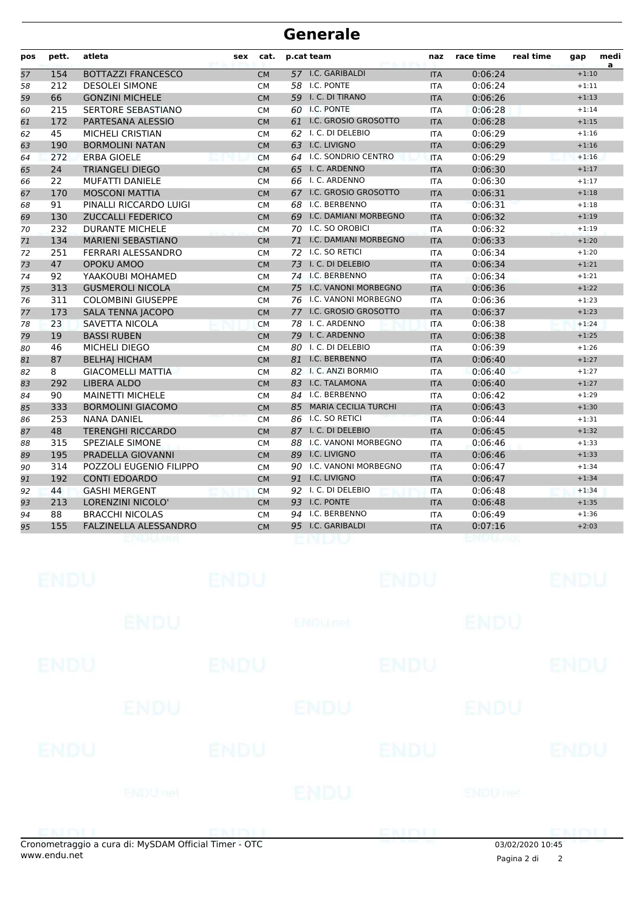| pos | pett. | atleta                       | sex | cat.      | p.cat team           |                             | naz        | race time | real time | gap     | medi<br>a |
|-----|-------|------------------------------|-----|-----------|----------------------|-----------------------------|------------|-----------|-----------|---------|-----------|
| 57  | 154   | <b>BOTTAZZI FRANCESCO</b>    |     | <b>CM</b> | 57 I.C. GARIBALDI    |                             | <b>ITA</b> | 0:06:24   |           | $+1:10$ |           |
| 58  | 212   | <b>DESOLEI SIMONE</b>        |     | <b>CM</b> | <b>58 I.C. PONTE</b> |                             | <b>ITA</b> | 0:06:24   |           | $+1:11$ |           |
| 59  | 66    | <b>GONZINI MICHELE</b>       |     | <b>CM</b> | 59 I. C. DI TIRANO   |                             | <b>ITA</b> | 0:06:26   |           | $+1:13$ |           |
| 60  | 215   | <b>SERTORE SEBASTIANO</b>    |     | <b>CM</b> | 60 I.C. PONTE        |                             | <b>ITA</b> | 0:06:28   |           | $+1:14$ |           |
| 61  | 172   | PARTESANA ALESSIO            |     | <b>CM</b> |                      | 61 I.C. GROSIO GROSOTTO     | <b>ITA</b> | 0:06:28   |           | $+1:15$ |           |
| 62  | 45    | <b>MICHELI CRISTIAN</b>      |     | <b>CM</b> | 62 I. C. DI DELEBIO  |                             | <b>ITA</b> | 0:06:29   |           | $+1:16$ |           |
| 63  | 190   | <b>BORMOLINI NATAN</b>       |     | <b>CM</b> | 63 I.C. LIVIGNO      |                             | <b>ITA</b> | 0:06:29   |           | $+1:16$ |           |
| 64  | 272   | <b>ERBA GIOELE</b>           |     | <b>CM</b> |                      | 64 I.C. SONDRIO CENTRO      | <b>ITA</b> | 0:06:29   |           | $+1:16$ |           |
| 65  | 24    | <b>TRIANGELI DIEGO</b>       |     | <b>CM</b> | 65 I. C. ARDENNO     |                             | <b>ITA</b> | 0:06:30   |           | $+1:17$ |           |
| 66  | 22    | <b>MUFATTI DANIELE</b>       |     | <b>CM</b> | 66 I. C. ARDENNO     |                             | <b>ITA</b> | 0:06:30   |           | $+1:17$ |           |
| 67  | 170   | <b>MOSCONI MATTIA</b>        |     | <b>CM</b> |                      | 67 I.C. GROSIO GROSOTTO     | <b>ITA</b> | 0:06:31   |           | $+1:18$ |           |
| 68  | 91    | PINALLI RICCARDO LUIGI       |     | <b>CM</b> | 68 I.C. BERBENNO     |                             | <b>ITA</b> | 0:06:31   |           | $+1:18$ |           |
| 69  | 130   | <b>ZUCCALLI FEDERICO</b>     |     | <b>CM</b> |                      | 69 I.C. DAMIANI MORBEGNO    | <b>ITA</b> | 0:06:32   |           | $+1:19$ |           |
| 70  | 232   | <b>DURANTE MICHELE</b>       |     | <b>CM</b> | 70 I.C. SO OROBICI   |                             | <b>ITA</b> | 0:06:32   |           | $+1:19$ |           |
| 71  | 134   | <b>MARIENI SEBASTIANO</b>    |     | <b>CM</b> | 71                   | I.C. DAMIANI MORBEGNO       | <b>ITA</b> | 0:06:33   |           | $+1:20$ |           |
| 72  | 251   | FERRARI ALESSANDRO           |     | <b>CM</b> | 72 I.C. SO RETICI    |                             | <b>ITA</b> | 0:06:34   |           | $+1:20$ |           |
| 73  | 47    | OPOKU AMOO                   |     | <b>CM</b> | 73 I. C. DI DELEBIO  |                             | <b>ITA</b> | 0:06:34   |           | $+1:21$ |           |
| 74  | 92    | YAAKOUBI MOHAMED             |     | <b>CM</b> | 74 I.C. BERBENNO     |                             | <b>ITA</b> | 0:06:34   |           | $+1:21$ |           |
| 75  | 313   | <b>GUSMEROLI NICOLA</b>      |     | <b>CM</b> | 75                   | I.C. VANONI MORBEGNO        | <b>ITA</b> | 0:06:36   |           | $+1:22$ |           |
| 76  | 311   | <b>COLOMBINI GIUSEPPE</b>    |     | <b>CM</b> |                      | 76 I.C. VANONI MORBEGNO     | <b>ITA</b> | 0:06:36   |           | $+1:23$ |           |
| 77  | 173   | <b>SALA TENNA JACOPO</b>     |     | <b>CM</b> |                      | 77 I.C. GROSIO GROSOTTO     | <b>ITA</b> | 0:06:37   |           | $+1:23$ |           |
| 78  | 23    | <b>SAVETTA NICOLA</b>        |     | <b>CM</b> | 78 I. C. ARDENNO     |                             | <b>ITA</b> | 0:06:38   |           | $+1:24$ |           |
| 79  | 19    | <b>BASSI RUBEN</b>           |     | <b>CM</b> | 79 I. C. ARDENNO     |                             | <b>ITA</b> | 0:06:38   |           | $+1:25$ |           |
| 80  | 46    | <b>MICHELI DIEGO</b>         |     | <b>CM</b> | 80 I. C. DI DELEBIO  |                             | <b>ITA</b> | 0:06:39   |           | $+1:26$ |           |
| 81  | 87    | <b>BELHAI HICHAM</b>         |     | <b>CM</b> | 81 I.C. BERBENNO     |                             | <b>ITA</b> | 0:06:40   |           | $+1:27$ |           |
| 82  | 8     | <b>GIACOMELLI MATTIA</b>     |     | <b>CM</b> | 82 I. C. ANZI BORMIO |                             | <b>ITA</b> | 0:06:40   |           | $+1:27$ |           |
| 83  | 292   | <b>LIBERA ALDO</b>           |     | <b>CM</b> | 83 I.C. TALAMONA     |                             | <b>ITA</b> | 0:06:40   |           | $+1:27$ |           |
| 84  | 90    | <b>MAINETTI MICHELE</b>      |     | <b>CM</b> | 84 I.C. BERBENNO     |                             | <b>ITA</b> | 0:06:42   |           | $+1:29$ |           |
| 85  | 333   | <b>BORMOLINI GIACOMO</b>     |     | <b>CM</b> | 85                   | <b>MARIA CECILIA TURCHI</b> | <b>ITA</b> | 0:06:43   |           | $+1:30$ |           |
| 86  | 253   | <b>NANA DANIEL</b>           |     | <b>CM</b> | 86 I.C. SO RETICI    |                             | <b>ITA</b> | 0:06:44   |           | $+1:31$ |           |
| 87  | 48    | <b>TERENGHI RICCARDO</b>     |     | <b>CM</b> | 87 I. C. DI DELEBIO  |                             | <b>ITA</b> | 0:06:45   |           | $+1:32$ |           |
| 88  | 315   | <b>SPEZIALE SIMONE</b>       |     | <b>CM</b> |                      | 88 I.C. VANONI MORBEGNO     | <b>ITA</b> | 0:06:46   |           | $+1:33$ |           |
| 89  | 195   | PRADELLA GIOVANNI            |     | <b>CM</b> | 89 I.C. LIVIGNO      |                             | <b>ITA</b> | 0:06:46   |           | $+1:33$ |           |
| 90  | 314   | POZZOLI EUGENIO FILIPPO      |     | <b>CM</b> |                      | 90 I.C. VANONI MORBEGNO     | <b>ITA</b> | 0:06:47   |           | $+1:34$ |           |
| 91  | 192   | <b>CONTI EDOARDO</b>         |     | <b>CM</b> | 91 I.C. LIVIGNO      |                             | <b>ITA</b> | 0:06:47   |           | $+1:34$ |           |
| 92  | 44    | <b>GASHI MERGENT</b>         |     | <b>CM</b> | 92 I. C. DI DELEBIO  |                             | <b>ITA</b> | 0:06:48   |           | $+1:34$ |           |
| 93  | 213   | LORENZINI NICOLO'            |     | <b>CM</b> | 93 I.C. PONTE        |                             | <b>ITA</b> | 0:06:48   |           | $+1:35$ |           |
| 94  | 88    | <b>BRACCHI NICOLAS</b>       |     | <b>CM</b> | 94 I.C. BERBENNO     |                             | <b>ITA</b> | 0:06:49   |           | $+1:36$ |           |
| 95  | 155   | <b>FALZINELLA ALESSANDRO</b> |     | <b>CM</b> | 95 I.C. GARIBALDI    |                             | <b>ITA</b> | 0:07:16   |           | $+2:03$ |           |
|     |       |                              |     |           |                      |                             |            |           |           |         |           |

| <b>ENDU</b>                     |                 | ENDU        |                | <b>ENDU</b> |             | <b>ENDU</b> |
|---------------------------------|-----------------|-------------|----------------|-------------|-------------|-------------|
|                                 | <b>ENDU</b>     |             | <b>ENDUnet</b> |             | ENDU        |             |
| <b>ENDU</b>                     |                 | <b>ENDU</b> |                | <b>ENDU</b> |             | <b>ENDU</b> |
|                                 | ENDU            |             | <b>ENDU</b>    |             | <b>ENDU</b> |             |
| <b>ENDU</b>                     |                 | <b>ENDU</b> |                | <b>ENDU</b> |             | <b>ENDU</b> |
|                                 | <b>ENDU</b> nel |             | ENDU           |             | ENDUmet     |             |
| the property of the property of |                 | $- - -$     |                | CNIDI       |             | CNIA        |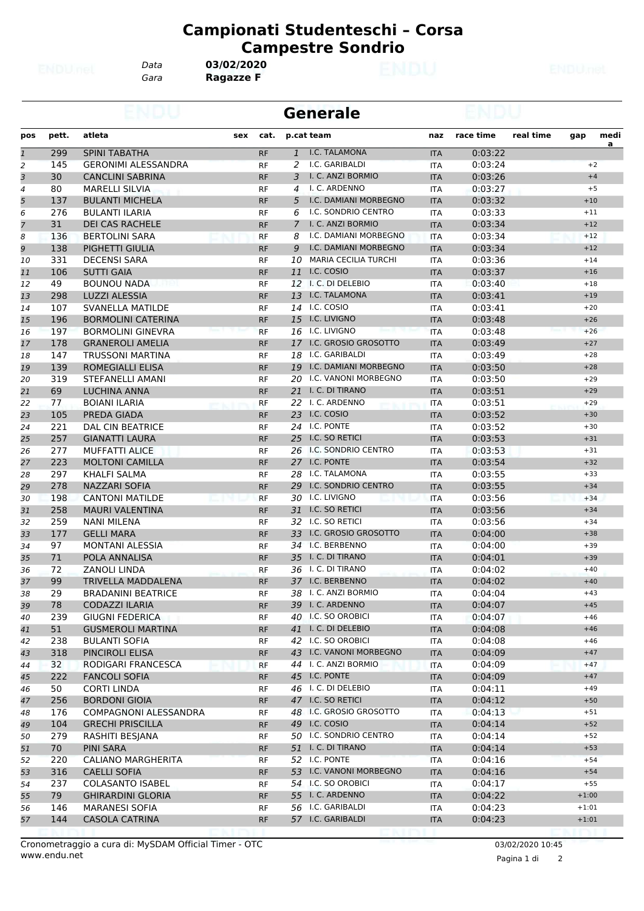*Gara* **Ragazze F** *Data* **03/02/2020**

|              |       |                            | <b>Generale</b> |           |              |                          |            |           |           |         |      |
|--------------|-------|----------------------------|-----------------|-----------|--------------|--------------------------|------------|-----------|-----------|---------|------|
| pos          | pett. | atleta                     | sex             | cat.      |              | p.cat team               | naz        | race time | real time | gap     | medi |
| $\mathbf{1}$ | 299   | <b>SPINI TABATHA</b>       |                 | <b>RF</b> | $\mathbf{1}$ | I.C. TALAMONA            | <b>ITA</b> | 0:03:22   |           |         | a    |
| 2            | 145   | <b>GERONIMI ALESSANDRA</b> |                 | <b>RF</b> | 2            | I.C. GARIBALDI           | <b>ITA</b> | 0:03:24   |           | $+2$    |      |
| 3            | 30    | <b>CANCLINI SABRINA</b>    |                 | <b>RF</b> | 3            | I. C. ANZI BORMIO        | <b>ITA</b> | 0:03:26   |           | $+4$    |      |
| 4            | 80    | <b>MARELLI SILVIA</b>      |                 | <b>RF</b> | 4            | I. C. ARDENNO            | <b>ITA</b> | 0:03:27   |           | $+5$    |      |
| 5            | 137   | <b>BULANTI MICHELA</b>     |                 | <b>RF</b> | 5            | I.C. DAMIANI MORBEGNO    | <b>ITA</b> | 0:03:32   |           | $+10$   |      |
| 6            | 276   | <b>BULANTI ILARIA</b>      |                 | <b>RF</b> | 6            | I.C. SONDRIO CENTRO      | <b>ITA</b> | 0:03:33   |           | $+11$   |      |
| 7            | 31    | <b>DEI CAS RACHELE</b>     |                 | <b>RF</b> |              | 7 I. C. ANZI BORMIO      | <b>ITA</b> | 0:03:34   |           | $+12$   |      |
| 8            | 136   | <b>BERTOLINI SARA</b>      |                 | <b>RF</b> | 8            | I.C. DAMIANI MORBEGNO    | <b>ITA</b> | 0:03:34   |           | $+12$   |      |
| 9            | 138   | PIGHETTI GIULIA            |                 | <b>RF</b> | 9            | I.C. DAMIANI MORBEGNO    | <b>ITA</b> | 0:03:34   |           | $+12$   |      |
| 10           | 331   | <b>DECENSI SARA</b>        |                 | <b>RF</b> |              | 10 MARIA CECILIA TURCHI  | <b>ITA</b> | 0:03:36   |           | $+14$   |      |
| 11           | 106   | <b>SUTTI GAIA</b>          |                 | <b>RF</b> |              | 11 I.C. COSIO            | <b>ITA</b> | 0:03:37   |           | $+16$   |      |
| 12           | 49    | <b>BOUNOU NADA</b>         |                 | <b>RF</b> |              | 12 I. C. DI DELEBIO      | <b>ITA</b> | 0:03:40   |           | $+18$   |      |
| 13           | 298   | <b>LUZZI ALESSIA</b>       |                 | <b>RF</b> |              | 13 I.C. TALAMONA         | <b>ITA</b> | 0:03:41   |           | $+19$   |      |
| 14           | 107   | SVANELLA MATILDE           |                 | <b>RF</b> |              | 14 I.C. COSIO            | <b>ITA</b> | 0:03:41   |           | $+20$   |      |
| 15           | 196   | <b>BORMOLINI CATERINA</b>  |                 | <b>RF</b> |              | 15 I.C. LIVIGNO          | <b>ITA</b> | 0:03:48   |           | $+26$   |      |
| 16           | 197   | <b>BORMOLINI GINEVRA</b>   |                 | <b>RF</b> |              | 16 I.C. LIVIGNO          | <b>ITA</b> | 0:03:48   |           | $+26$   |      |
| 17           | 178   | <b>GRANEROLI AMELIA</b>    |                 | <b>RF</b> |              | 17 I.C. GROSIO GROSOTTO  | <b>ITA</b> | 0:03:49   |           | $+27$   |      |
| 18           | 147   | <b>TRUSSONI MARTINA</b>    |                 | RF        |              | 18 I.C. GARIBALDI        | ITA        | 0:03:49   |           | $+28$   |      |
| 19           | 139   | ROMEGIALLI ELISA           |                 | <b>RF</b> |              | 19 I.C. DAMIANI MORBEGNO | <b>ITA</b> | 0:03:50   |           | $+28$   |      |
| 20           | 319   | STEFANELLI AMANI           |                 | <b>RF</b> |              | 20 I.C. VANONI MORBEGNO  | <b>ITA</b> | 0:03:50   |           | $+29$   |      |
| 21           | 69    | LUCHINA ANNA               |                 | <b>RF</b> |              | 21 I. C. DI TIRANO       | <b>ITA</b> | 0:03:51   |           | $+29$   |      |
| 22           | 77    | <b>BOIANI ILARIA</b>       |                 | <b>RF</b> |              | 22 I. C. ARDENNO         | <b>ITA</b> | 0:03:51   |           | $+29$   |      |
| 23           | 105   | PREDA GIADA                |                 | <b>RF</b> |              | 23 I.C. COSIO            | <b>ITA</b> | 0:03:52   |           | $+30$   |      |
| 24           | 221   | <b>DAL CIN BEATRICE</b>    |                 | RF        |              | 24 I.C. PONTE            | ITA        | 0:03:52   |           | $+30$   |      |
| 25           | 257   | <b>GIANATTI LAURA</b>      |                 | <b>RF</b> |              | 25 I.C. SO RETICI        | <b>ITA</b> | 0:03:53   |           | $+31$   |      |
| 26           | 277   | <b>MUFFATTI ALICE</b>      |                 | <b>RF</b> |              | 26 I.C. SONDRIO CENTRO   | <b>ITA</b> | 0:03:53   |           | $+31$   |      |
| 27           | 223   | <b>MOLTONI CAMILLA</b>     |                 | <b>RF</b> |              | 27 I.C. PONTE            | <b>ITA</b> | 0:03:54   |           | $+32$   |      |
| 28           | 297   | KHALFI SALMA               |                 | <b>RF</b> |              | 28 I.C. TALAMONA         | <b>ITA</b> | 0:03:55   |           | $+33$   |      |
| 29           | 278   | <b>NAZZARI SOFIA</b>       |                 | <b>RF</b> |              | 29 I.C. SONDRIO CENTRO   | <b>ITA</b> | 0:03:55   |           | $+34$   |      |
| 30           | 198   | <b>CANTONI MATILDE</b>     |                 | <b>RF</b> |              | 30 I.C. LIVIGNO          | <b>ITA</b> | 0:03:56   |           | $+34$   |      |
| 31           | 258   | <b>MAURI VALENTINA</b>     |                 | <b>RF</b> |              | 31 I.C. SO RETICI        | <b>ITA</b> | 0:03:56   |           | $+34$   |      |
| 32           | 259   | NANI MILENA                |                 | <b>RF</b> |              | 32 I.C. SO RETICI        | <b>ITA</b> | 0:03:56   |           | $+34$   |      |
| 33           | 177   | <b>GELLI MARA</b>          |                 | <b>RF</b> |              | 33 I.C. GROSIO GROSOTTO  | <b>ITA</b> | 0:04:00   |           | $+38$   |      |
| 34           | 97    | <b>MONTANI ALESSIA</b>     |                 | <b>RF</b> |              | 34 I.C. BERBENNO         | <b>ITA</b> | 0:04:00   |           | $+39$   |      |
| 35           | 71    | POLA ANNALISA              |                 | <b>RF</b> |              | 35 I. C. DI TIRANO       | <b>ITA</b> | 0:04:01   |           | $+39$   |      |
| 36           | 72    | <b>ZANOLI LINDA</b>        |                 | RF        |              | 36 I. C. DI TIRANO       | ITA        | 0:04:02   |           | $+40$   |      |
| 37           | 99    | <b>TRIVELLA MADDALENA</b>  |                 | <b>RF</b> |              | 37 I.C. BERBENNO         | <b>ITA</b> | 0:04:02   |           | $+40$   |      |
| 38           | 29    | <b>BRADANINI BEATRICE</b>  |                 | RF        |              | 38 I. C. ANZI BORMIO     | <b>ITA</b> | 0:04:04   |           | $+43$   |      |
| 39           | 78    | <b>CODAZZI ILARIA</b>      |                 | RF        |              | 39 I. C. ARDENNO         | <b>ITA</b> | 0:04:07   |           | $+45$   |      |
| 40           | 239   | <b>GIUGNI FEDERICA</b>     |                 | RF        |              | 40 I.C. SO OROBICI       | ITA        | 0:04:07   |           | $+46$   |      |
| 41           | 51    | <b>GUSMEROLI MARTINA</b>   |                 | <b>RF</b> |              | 41 I. C. DI DELEBIO      | <b>ITA</b> | 0:04:08   |           | $+46$   |      |
| 42           | 238   | <b>BULANTI SOFIA</b>       |                 | RF        |              | 42 I.C. SO OROBICI       | ITA        | 0:04:08   |           | $+46$   |      |
| 43           | 318   | PINCIROLI ELISA            |                 | <b>RF</b> |              | 43 I.C. VANONI MORBEGNO  | <b>ITA</b> | 0:04:09   |           | $+47$   |      |
| 44           | 32    | RODIGARI FRANCESCA         |                 | <b>RF</b> |              | 44 I. C. ANZI BORMIO     | <b>ITA</b> | 0:04:09   |           | $+47$   |      |
| 45           | 222   | <b>FANCOLI SOFIA</b>       |                 | <b>RF</b> |              | 45 I.C. PONTE            | <b>ITA</b> | 0:04:09   |           | $+47$   |      |
| 46           | 50    | <b>CORTI LINDA</b>         |                 | RF        |              | 46 I. C. DI DELEBIO      | <b>ITA</b> | 0:04:11   |           | $+49$   |      |
| 47           | 256   | <b>BORDONI GIOIA</b>       |                 | <b>RF</b> |              | 47 I.C. SO RETICI        | <b>ITA</b> | 0:04:12   |           | $+50$   |      |
| 48           | 176   | COMPAGNONI ALESSANDRA      |                 | RF        |              | 48 I.C. GROSIO GROSOTTO  | ITA        | 0:04:13   |           | $+51$   |      |
| 49           | 104   | <b>GRECHI PRISCILLA</b>    |                 | <b>RF</b> |              | 49 I.C. COSIO            | <b>ITA</b> | 0:04:14   |           | $+52$   |      |
| 50           | 279   | RASHITI BESJANA            |                 | RF        |              | 50 I.C. SONDRIO CENTRO   | <b>ITA</b> | 0:04:14   |           | $+52$   |      |
| 51           | 70    | PINI SARA                  |                 | <b>RF</b> |              | 51 I. C. DI TIRANO       | <b>ITA</b> | 0:04:14   |           | $+53$   |      |
| 52           | 220   | CALIANO MARGHERITA         |                 | RF        |              | 52 I.C. PONTE            | <b>ITA</b> | 0:04:16   |           | $+54$   |      |
| 53           | 316   | <b>CAELLI SOFIA</b>        |                 | <b>RF</b> |              | 53 I.C. VANONI MORBEGNO  | <b>ITA</b> | 0:04:16   |           | $+54$   |      |
| 54           | 237   | <b>COLASANTO ISABEL</b>    |                 | RF        |              | 54 I.C. SO OROBICI       | ITA        | 0:04:17   |           | $+55$   |      |
| 55           | 79    | <b>GHIRARDINI GLORIA</b>   |                 | <b>RF</b> |              | 55 I. C. ARDENNO         | <b>ITA</b> | 0:04:22   |           | $+1:00$ |      |
| 56           | 146   | <b>MARANESI SOFIA</b>      |                 | <b>RF</b> |              | 56 I.C. GARIBALDI        | ITA        | 0:04:23   |           | $+1:01$ |      |
| 57           | 144   | <b>CASOLA CATRINA</b>      |                 | <b>RF</b> |              | 57 I.C. GARIBALDI        | <b>ITA</b> | 0:04:23   |           | $+1:01$ |      |
|              |       |                            |                 |           |              |                          |            |           |           |         |      |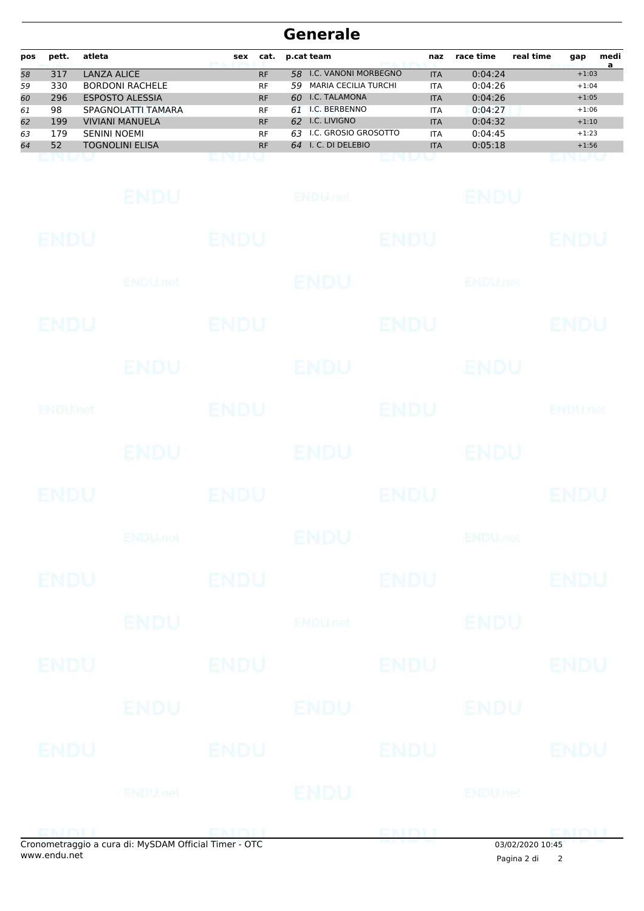| pos | pett. | atleta                 | sex | cat.      | p.cat team                        | naz        | race time | real time | gap     | medi<br>a |
|-----|-------|------------------------|-----|-----------|-----------------------------------|------------|-----------|-----------|---------|-----------|
| 58  | 317   | LANZA ALICE            |     | <b>RF</b> | I.C. VANONI MORBEGNO<br>58.       | <b>ITA</b> | 0:04:24   |           | $+1:03$ |           |
| 59  | 330   | <b>BORDONI RACHELE</b> |     | <b>RF</b> | <b>MARIA CECILIA TURCHI</b><br>59 | <b>ITA</b> | 0:04:26   |           | $+1:04$ |           |
| 60  | 296   | <b>ESPOSTO ALESSIA</b> |     | <b>RF</b> | I.C. TALAMONA<br>60.              | <b>ITA</b> | 0:04:26   |           | $+1:05$ |           |
| 61  | 98    | SPAGNOLATTI TAMARA     |     | <b>RF</b> | I.C. BERBENNO<br>61               | <b>ITA</b> | 0:04:27   |           | $+1:06$ |           |
| 62  | 199   | <b>VIVIANI MANUELA</b> |     | <b>RF</b> | I.C. LIVIGNO<br>62                | <b>ITA</b> | 0:04:32   |           | $+1:10$ |           |
| 63  | 179   | <b>SENINI NOEMI</b>    |     | <b>RF</b> | I.C. GROSIO GROSOTTO<br>63        | <b>ITA</b> | 0:04:45   |           | $+1:23$ |           |
| 64  | 52    | <b>TOGNOLINI ELISA</b> |     | <b>RF</b> | I. C. DI DELEBIO<br>64            | <b>ITA</b> | 0:05:18   |           | $+1:56$ |           |
|     |       |                        |     |           |                                   |            |           |           |         |           |

|             | onometraggio a cura di: MySDAM Official Timer - OTC |             |                 |             | 03/02/2020 10:45         |                |
|-------------|-----------------------------------------------------|-------------|-----------------|-------------|--------------------------|----------------|
|             | ENDITI ENDITI                                       |             |                 | ENDIJ       |                          | <b>EMALL</b>   |
|             | <b>ENDUnet</b>                                      |             | <b>ENDU</b>     |             | <b>ENDUmet</b>           |                |
| <b>ENDU</b> |                                                     | <b>ENDU</b> |                 | ENDU        |                          | <b>ENDU</b>    |
|             | ENDU                                                |             | ENDU            |             | ENDU                     |                |
| <b>ENDU</b> |                                                     | <b>ENDU</b> |                 | <b>ENDU</b> |                          | <b>ENDU</b>    |
|             | <b>ENDU</b>                                         |             | <b>ENDUnet</b>  |             | <b>ENDU</b>              |                |
| <b>ENDU</b> |                                                     | <b>ENDU</b> |                 | <b>ENDU</b> |                          | <b>ENDU</b>    |
|             | <b>ENDUMBL</b>                                      |             | <b>ENDU</b>     |             | <b>ENDU<sub>CE</sub></b> |                |
| <b>ENDU</b> |                                                     | <b>ENDU</b> |                 | <b>ENDU</b> |                          | <b>ENDU</b>    |
|             | <b>ENDU</b>                                         |             | ENDU            |             | <b>ENDU</b>              |                |
| ENDUNCT     |                                                     | <b>ENDU</b> |                 | <b>ENDU</b> |                          | <b>ENDUnet</b> |
|             | ENDU                                                |             | <b>ENDU</b>     |             | ENDU                     |                |
| ENDU        |                                                     | <b>ENDU</b> |                 | <b>ENDU</b> |                          | <b>ENDU</b>    |
|             | ENDU, nel                                           |             | <b>ENDU</b>     |             | <b>ENDUnet</b>           |                |
| <b>ENDU</b> |                                                     | <b>ENDU</b> |                 | <b>ENDU</b> |                          | <b>ENDU</b>    |
|             | <b>ENDU</b>                                         |             | <b>ENDULIEL</b> |             | ENDU                     |                |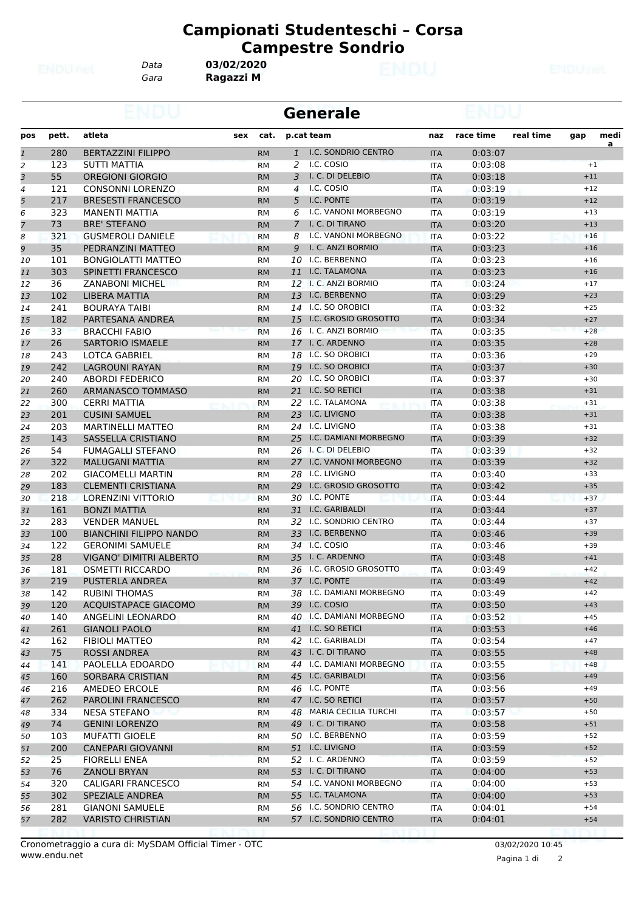*Data* **03/02/2020**

*Gara* **Ragazzi M**

|              |       |                                |     |           |                | <b>Generale</b>          |                   |           |           |       |                        |
|--------------|-------|--------------------------------|-----|-----------|----------------|--------------------------|-------------------|-----------|-----------|-------|------------------------|
| pos          | pett. | atleta                         | sex | cat.      |                | p.cat team               | naz               | race time | real time | gap   | medi<br>$\overline{a}$ |
| $\mathbf{1}$ | 280   | <b>BERTAZZINI FILIPPO</b>      |     | <b>RM</b> | $\mathbf{1}$   | I.C. SONDRIO CENTRO      | <b>ITA</b>        | 0:03:07   |           |       |                        |
| 2            | 123   | <b>SUTTI MATTIA</b>            |     | <b>RM</b> | 2              | I.C. COSIO               | ITA               | 0:03:08   |           |       | $+1$                   |
| 3            | 55    | <b>OREGIONI GIORGIO</b>        |     | <b>RM</b> | 3              | I. C. DI DELEBIO         | <b>ITA</b>        | 0:03:18   |           | $+11$ |                        |
| 4            | 121   | <b>CONSONNI LORENZO</b>        |     | <b>RM</b> | 4              | I.C. COSIO               | <b>ITA</b>        | 0:03:19   |           | $+12$ |                        |
| 5            | 217   | <b>BRESESTI FRANCESCO</b>      |     | <b>RM</b> | 5              | I.C. PONTE               | <b>ITA</b>        | 0:03:19   |           | $+12$ |                        |
| 6            | 323   | <b>MANENTI MATTIA</b>          |     | <b>RM</b> | 6              | I.C. VANONI MORBEGNO     | <b>ITA</b>        | 0:03:19   |           | $+13$ |                        |
| 7            | 73    | <b>BRE' STEFANO</b>            |     | <b>RM</b> | $\overline{7}$ | I. C. DI TIRANO          | <b>ITA</b>        | 0:03:20   |           | $+13$ |                        |
| 8            | 321   | <b>GUSMEROLI DANIELE</b>       |     | <b>RM</b> | 8              | I.C. VANONI MORBEGNO     | <b>ITA</b>        | 0:03:22   |           | $+16$ |                        |
| 9            | 35    | PEDRANZINI MATTEO              |     | <b>RM</b> | 9              | I. C. ANZI BORMIO        | <b>ITA</b>        | 0:03:23   |           | $+16$ |                        |
| 10           | 101   | <b>BONGIOLATTI MATTEO</b>      |     | <b>RM</b> |                | 10 I.C. BERBENNO         | <b>ITA</b>        | 0:03:23   |           | $+16$ |                        |
| 11           | 303   | SPINETTI FRANCESCO             |     | <b>RM</b> |                | 11 I.C. TALAMONA         | <b>ITA</b>        | 0:03:23   |           | $+16$ |                        |
| 12           | 36    | <b>ZANABONI MICHEL</b>         |     | <b>RM</b> |                | 12 I. C. ANZI BORMIO     | <b>ITA</b>        | 0:03:24   |           | $+17$ |                        |
| 13           | 102   | LIBERA MATTIA                  |     | <b>RM</b> |                | 13 I.C. BERBENNO         | <b>ITA</b>        | 0:03:29   |           | $+23$ |                        |
| 14           | 241   | <b>BOURAYA TAIBI</b>           |     | <b>RM</b> |                | 14 I.C. SO OROBICI       | <b>ITA</b>        | 0:03:32   |           | $+25$ |                        |
| 15           | 182   | PARTESANA ANDREA               |     | <b>RM</b> |                | 15 I.C. GROSIO GROSOTTO  | <b>ITA</b>        | 0:03:34   |           | $+27$ |                        |
| 16           | 33    | <b>BRACCHI FABIO</b>           |     | <b>RM</b> |                | 16 I. C. ANZI BORMIO     | <b>ITA</b>        | 0:03:35   |           | $+28$ |                        |
| 17           | 26    | <b>SARTORIO ISMAELE</b>        |     | <b>RM</b> |                | 17 I. C. ARDENNO         | <b>ITA</b>        | 0:03:35   |           | $+28$ |                        |
| 18           | 243   | <b>LOTCA GABRIEL</b>           |     | <b>RM</b> |                | 18 I.C. SO OROBICI       | <b>ITA</b>        | 0:03:36   |           | $+29$ |                        |
| 19           | 242   | <b>LAGROUNI RAYAN</b>          |     | <b>RM</b> |                | 19 I.C. SO OROBICI       | <b>ITA</b>        | 0:03:37   |           | $+30$ |                        |
| 20           | 240   | <b>ABORDI FEDERICO</b>         |     | <b>RM</b> |                | 20 I.C. SO OROBICI       | <b>ITA</b>        | 0:03:37   |           | $+30$ |                        |
| 21           | 260   | <b>ARMANASCO TOMMASO</b>       |     | <b>RM</b> |                | 21 I.C. SO RETICI        | <b>ITA</b>        | 0:03:38   |           | $+31$ |                        |
| 22           | 300   | <b>CERRI MATTIA</b>            |     | <b>RM</b> |                | 22 I.C. TALAMONA         | ITA               | 0:03:38   |           | $+31$ |                        |
| 23           | 201   | <b>CUSINI SAMUEL</b>           |     | <b>RM</b> |                | 23 I.C. LIVIGNO          | <b>ITA</b>        | 0:03:38   |           | $+31$ |                        |
| 24           | 203   | <b>MARTINELLI MATTEO</b>       |     | <b>RM</b> |                | 24 I.C. LIVIGNO          | <b>ITA</b>        | 0:03:38   |           | $+31$ |                        |
| 25           | 143   | SASSELLA CRISTIANO             |     | <b>RM</b> |                | 25 I.C. DAMIANI MORBEGNO | <b>ITA</b>        | 0:03:39   |           | $+32$ |                        |
| 26           | 54    | <b>FUMAGALLI STEFANO</b>       |     | <b>RM</b> |                | 26 I. C. DI DELEBIO      | <b>ITA</b>        | 0:03:39   |           | $+32$ |                        |
| 27           | 322   | <b>MALUGANI MATTIA</b>         |     | <b>RM</b> |                | 27 I.C. VANONI MORBEGNO  | <b>ITA</b>        | 0:03:39   |           | $+32$ |                        |
| 28           | 202   | <b>GIACOMELLI MARTIN</b>       |     | <b>RM</b> |                | 28 I.C. LIVIGNO          | <b>ITA</b>        | 0:03:40   |           | $+33$ |                        |
| 29           | 183   | <b>CLEMENTI CRISTIANA</b>      |     | <b>RM</b> |                | 29 I.C. GROSIO GROSOTTO  | <b>ITA</b>        | 0:03:42   |           | $+35$ |                        |
| 30           | 218   | <b>LORENZINI VITTORIO</b>      |     | <b>RM</b> |                | 30 I.C. PONTE            | <b>ITA</b>        | 0:03:44   |           | $+37$ |                        |
| 31           | 161   | <b>BONZI MATTIA</b>            |     | <b>RM</b> |                | 31 I.C. GARIBALDI        | <b>ITA</b>        | 0:03:44   |           | $+37$ |                        |
| 32           | 283   | <b>VENDER MANUEL</b>           |     | <b>RM</b> |                | 32 I.C. SONDRIO CENTRO   | <b>ITA</b>        | 0:03:44   |           | $+37$ |                        |
| 33           | 100   | <b>BIANCHINI FILIPPO NANDO</b> |     | <b>RM</b> |                | 33 I.C. BERBENNO         | <b>ITA</b>        | 0:03:46   |           | $+39$ |                        |
| 34           | 122   | <b>GERONIMI SAMUELE</b>        |     | <b>RM</b> |                | 34 I.C. COSIO            | <b>ITA</b>        | 0:03:46   |           | $+39$ |                        |
| 35           | 28    | <b>VIGANO' DIMITRI ALBERTO</b> |     | <b>RM</b> |                | 35 I. C. ARDENNO         | <b>ITA</b>        | 0:03:48   |           | $+41$ |                        |
| 36           | 181   | <b>OSMETTI RICCARDO</b>        |     | <b>RM</b> |                | 36 I.C. GROSIO GROSOTTO  | <b>ITA</b>        | 0:03:49   |           | $+42$ |                        |
| 37           | 219   | PUSTERLA ANDREA                |     | <b>RM</b> |                | 37 I.C. PONTE            | <b>ITA</b>        | 0:03:49   |           | $+42$ |                        |
| 38           | 142   | <b>RUBINI THOMAS</b>           |     | RМ        |                | 38 I.C. DAMIANI MORBEGNO | <b>ITA</b>        | 0:03:49   |           | +42   |                        |
| 39           | 120   | ACQUISTAPACE GIACOMO           |     | <b>RM</b> |                | 39 I.C. COSIO            | <b>ITA</b>        | 0:03:50   |           | $+43$ |                        |
| 40           | 140   | ANGELINI LEONARDO              |     | RM        |                | 40 I.C. DAMIANI MORBEGNO | ITA               | 0:03:52   |           | $+45$ |                        |
| 41           | 261   | <b>GIANOLI PAOLO</b>           |     | <b>RM</b> |                | 41 I.C. SO RETICI        | <b>ITA</b>        | 0:03:53   |           | $+46$ |                        |
| 42           | 162   | <b>FIBIOLI MATTEO</b>          |     | RM        |                | 42 I.C. GARIBALDI        | ITA               | 0:03:54   |           | $+47$ |                        |
| 43           | 75    | <b>ROSSI ANDREA</b>            |     | <b>RM</b> |                | 43 I. C. DI TIRANO       | <b>ITA</b>        | 0:03:55   |           | $+48$ |                        |
| 44           | 141   | PAOLELLA EDOARDO               |     | <b>RM</b> |                | 44 I.C. DAMIANI MORBEGNO | ITA               | 0:03:55   |           | $+48$ |                        |
| 45           | 160   | SORBARA CRISTIAN               |     | <b>RM</b> |                | 45 I.C. GARIBALDI        | <b>ITA</b>        | 0:03:56   |           | $+49$ |                        |
| 46           | 216   | AMEDEO ERCOLE                  |     | RM        |                | 46 I.C. PONTE            | ITA               | 0:03:56   |           | $+49$ |                        |
| 47           | 262   | PAROLINI FRANCESCO             |     | <b>RM</b> |                | 47 I.C. SO RETICI        | <b>ITA</b>        | 0:03:57   |           | $+50$ |                        |
| 48           | 334   | <b>NESA STEFANO</b>            |     | RM        |                | 48 MARIA CECILIA TURCHI  | ITA               | 0:03:57   |           | $+50$ |                        |
| 49           | 74    | <b>GENINI LORENZO</b>          |     | <b>RM</b> |                | 49 I. C. DI TIRANO       | <b>ITA</b>        | 0:03:58   |           | $+51$ |                        |
| 50           | 103   | <b>MUFATTI GIOELE</b>          |     | RM        |                | 50 I.C. BERBENNO         | ITA               | 0:03:59   |           | $+52$ |                        |
| 51           | 200   | <b>CANEPARI GIOVANNI</b>       |     | <b>RM</b> |                | 51 I.C. LIVIGNO          | <b>ITA</b>        | 0:03:59   |           | $+52$ |                        |
| 52           | 25    | <b>FIORELLI ENEA</b>           |     |           |                | 52 I. C. ARDENNO         |                   | 0:03:59   |           | $+52$ |                        |
| 53           | 76    | <b>ZANOLI BRYAN</b>            |     | <b>RM</b> |                | 53 I. C. DI TIRANO       | ITA<br><b>ITA</b> | 0:04:00   |           | $+53$ |                        |
|              |       |                                |     | <b>RM</b> |                | 54 I.C. VANONI MORBEGNO  |                   |           |           |       |                        |
| 54           | 320   | CALIGARI FRANCESCO             |     | RM        |                |                          | ITA               | 0:04:00   |           | $+53$ |                        |
| 55           | 302   | <b>SPEZIALE ANDREA</b>         |     | <b>RM</b> |                | 55 I.C. TALAMONA         | <b>ITA</b>        | 0:04:00   |           | $+53$ |                        |
| 56           | 281   | <b>GIANONI SAMUELE</b>         |     | RM        |                | 56 I.C. SONDRIO CENTRO   | ITA               | 0:04:01   |           | $+54$ |                        |
| 57           | 282   | <b>VARISTO CHRISTIAN</b>       |     | <b>RM</b> |                | 57 I.C. SONDRIO CENTRO   | <b>ITA</b>        | 0:04:01   |           | $+54$ |                        |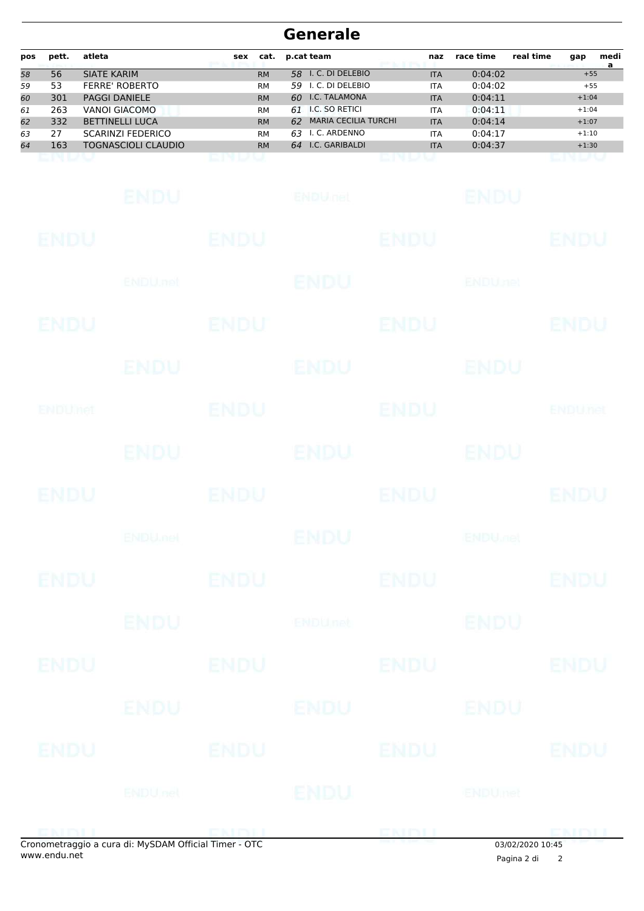| pos | pett. | atleta                     | sex | cat.      | p.cat team                        | naz        | race time | real time<br>gap | medi |
|-----|-------|----------------------------|-----|-----------|-----------------------------------|------------|-----------|------------------|------|
| 58  | 56    | SIATE KARIM                |     | <b>RM</b> | I. C. DI DELEBIO<br>58.           | <b>ITA</b> | 0:04:02   | $+55$            | a    |
| 59  | 53    | <b>FERRE' ROBERTO</b>      |     | <b>RM</b> | I. C. DI DELEBIO<br>59.           | <b>ITA</b> | 0:04:02   | $+55$            |      |
| 60  | 301   | <b>PAGGI DANIELE</b>       |     | <b>RM</b> | I.C. TALAMONA<br>60.              | <b>ITA</b> | 0:04:11   | $+1:04$          |      |
| 61  | 263   | VANOI GIACOMO              |     | <b>RM</b> | I.C. SO RETICI<br>61              | <b>ITA</b> | 0:04:11   | $+1:04$          |      |
| 62  | 332   | <b>BETTINELLI LUCA</b>     |     | <b>RM</b> | <b>MARIA CECILIA TURCHI</b><br>62 | <b>ITA</b> | 0:04:14   | $+1:07$          |      |
| 63  | 27    | <b>SCARINZI FEDERICO</b>   |     | <b>RM</b> | I. C. ARDENNO<br>63               | <b>ITA</b> | 0:04:17   | $+1:10$          |      |
| 64  | 163   | <b>TOGNASCIOLI CLAUDIO</b> |     | <b>RM</b> | I.C. GARIBALDI<br>64              | <b>ITA</b> | 0:04:37   | $+1:30$          |      |
|     |       |                            |     |           |                                   |            |           |                  |      |

|             | onometraggio a cura di: MySDAM Official Timer - OTC |             | onometraggio a cura di: MySDAM Official Timer - OTC | ENDLI       | 03/02/2020 10:45          |                |
|-------------|-----------------------------------------------------|-------------|-----------------------------------------------------|-------------|---------------------------|----------------|
|             |                                                     |             |                                                     |             |                           | <b>ENDIT</b>   |
|             | <b>ENDU</b> net                                     |             | <b>IENDU</b>                                        |             | <b>ENDUmet</b>            |                |
| ENDU        |                                                     | ENDU        |                                                     | ENDU        |                           | <b>ENDU</b>    |
|             | ENDU I                                              |             | ENDU                                                |             | <b>ENDU</b>               |                |
| <b>ENDU</b> |                                                     | <b>ENDU</b> |                                                     | <b>ENDU</b> |                           | <b>ENDU</b>    |
|             | <b>ENDU</b>                                         |             | <b>ENDUnet</b>                                      |             | <b>ENDU</b>               |                |
| <b>ENDU</b> |                                                     | <b>ENDU</b> |                                                     | <b>ENDU</b> |                           | <b>ENDU</b>    |
|             | <b>ENDUmet</b>                                      |             | ENDU                                                |             | <b>ENDU<sub>DED</sub></b> |                |
| <b>ENDU</b> |                                                     | <b>ENDU</b> |                                                     | <b>ENDU</b> |                           | <b>ENDU</b>    |
|             | ENDU.                                               |             | ENDU                                                |             | ENDU                      |                |
| ENDUMED     |                                                     | <b>ENDU</b> |                                                     | <b>ENDU</b> |                           | <b>ENDUnet</b> |
|             | ENDU                                                |             | <b>ENDU</b>                                         |             | ENDU                      |                |
| ENDU        |                                                     | <b>ENDU</b> |                                                     | <b>ENDU</b> |                           | <b>ENDU</b>    |
|             | ENDU, nel                                           |             | <b>ENDU</b>                                         |             | <b>ENDUnet</b>            |                |
| <b>ENDU</b> |                                                     | <b>ENDU</b> |                                                     | <b>ENDU</b> |                           | <b>ENDU</b>    |
|             | ENDU                                                |             | <b>ENDULIEL</b>                                     |             | <b>ENDU</b>               |                |